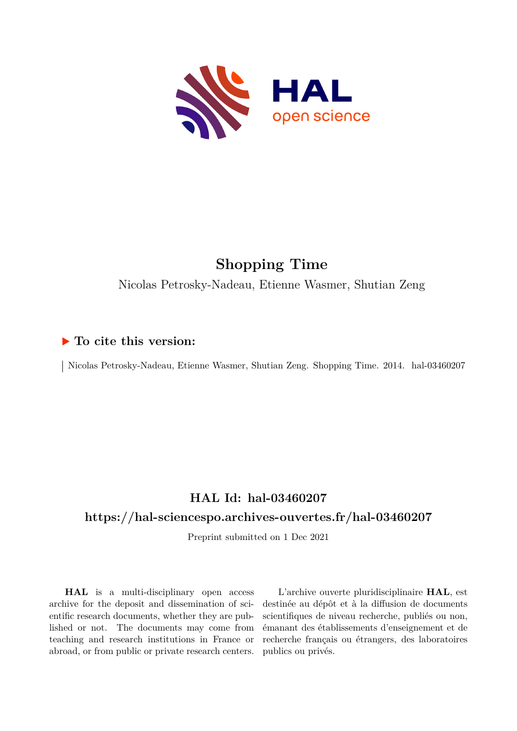

# **Shopping Time**

Nicolas Petrosky-Nadeau, Etienne Wasmer, Shutian Zeng

# **To cite this version:**

| Nicolas Petrosky-Nadeau, Etienne Wasmer, Shutian Zeng. Shopping Time. 2014. hal-03460207

# **HAL Id: hal-03460207**

# **<https://hal-sciencespo.archives-ouvertes.fr/hal-03460207>**

Preprint submitted on 1 Dec 2021

**HAL** is a multi-disciplinary open access archive for the deposit and dissemination of scientific research documents, whether they are published or not. The documents may come from teaching and research institutions in France or abroad, or from public or private research centers.

L'archive ouverte pluridisciplinaire **HAL**, est destinée au dépôt et à la diffusion de documents scientifiques de niveau recherche, publiés ou non, émanant des établissements d'enseignement et de recherche français ou étrangers, des laboratoires publics ou privés.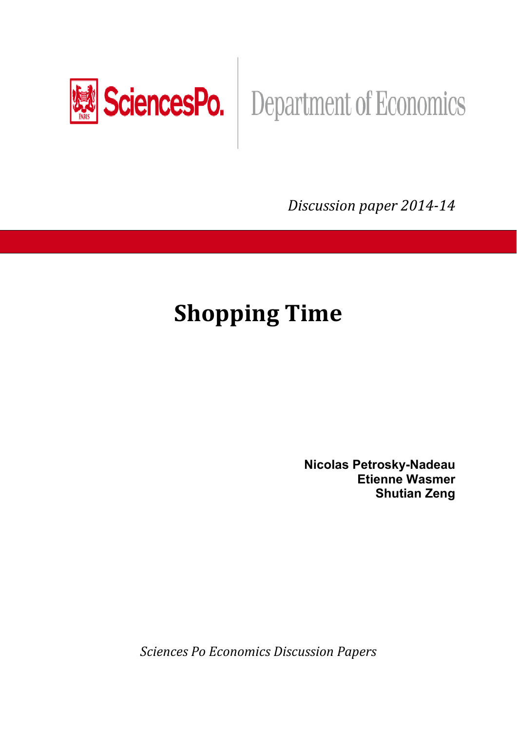

# SciencesPo. Department of Economics

*Discussion paper 201414*

# **Shopping Time**

**Nicolas Petrosky-Nadeau Etienne Wasmer Shutian Zeng** 

*Sciences Po Economics Discussion Papers*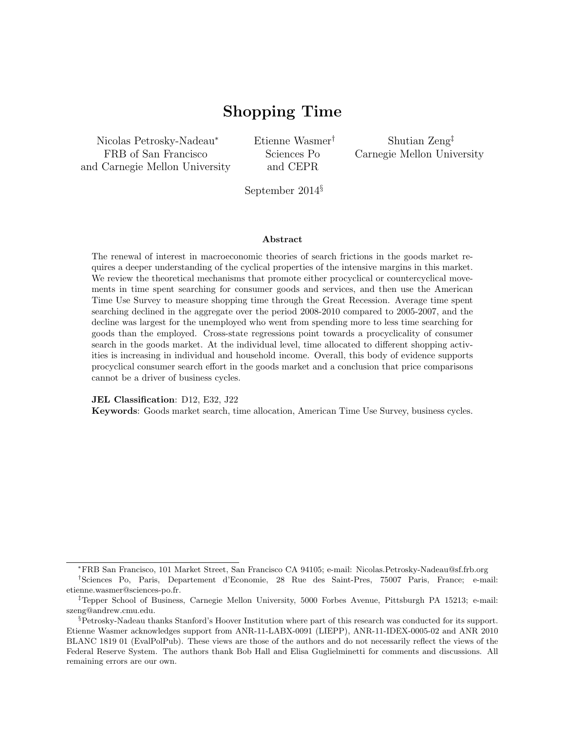# Shopping Time

Nicolas Petrosky-Nadeau<sup>∗</sup> FRB of San Francisco and Carnegie Mellon University Etienne Wasmer† Sciences Po and CEPR

Shutian Zeng‡ Carnegie Mellon University

September 2014§

#### Abstract

The renewal of interest in macroeconomic theories of search frictions in the goods market requires a deeper understanding of the cyclical properties of the intensive margins in this market. We review the theoretical mechanisms that promote either procyclical or countercyclical movements in time spent searching for consumer goods and services, and then use the American Time Use Survey to measure shopping time through the Great Recession. Average time spent searching declined in the aggregate over the period 2008-2010 compared to 2005-2007, and the decline was largest for the unemployed who went from spending more to less time searching for goods than the employed. Cross-state regressions point towards a procyclicality of consumer search in the goods market. At the individual level, time allocated to different shopping activities is increasing in individual and household income. Overall, this body of evidence supports procyclical consumer search effort in the goods market and a conclusion that price comparisons cannot be a driver of business cycles.

JEL Classification: D12, E32, J22

Keywords: Goods market search, time allocation, American Time Use Survey, business cycles.

<sup>∗</sup>FRB San Francisco, 101 Market Street, San Francisco CA 94105; e-mail: Nicolas.Petrosky-Nadeau@sf.frb.org

<sup>†</sup>Sciences Po, Paris, Departement d'Economie, 28 Rue des Saint-Pres, 75007 Paris, France; e-mail: etienne.wasmer@sciences-po.fr.

<sup>‡</sup>Tepper School of Business, Carnegie Mellon University, 5000 Forbes Avenue, Pittsburgh PA 15213; e-mail: szeng@andrew.cmu.edu.

<sup>§</sup>Petrosky-Nadeau thanks Stanford's Hoover Institution where part of this research was conducted for its support. Etienne Wasmer acknowledges support from ANR-11-LABX-0091 (LIEPP), ANR-11-IDEX-0005-02 and ANR 2010 BLANC 1819 01 (EvalPolPub). These views are those of the authors and do not necessarily reflect the views of the Federal Reserve System. The authors thank Bob Hall and Elisa Guglielminetti for comments and discussions. All remaining errors are our own.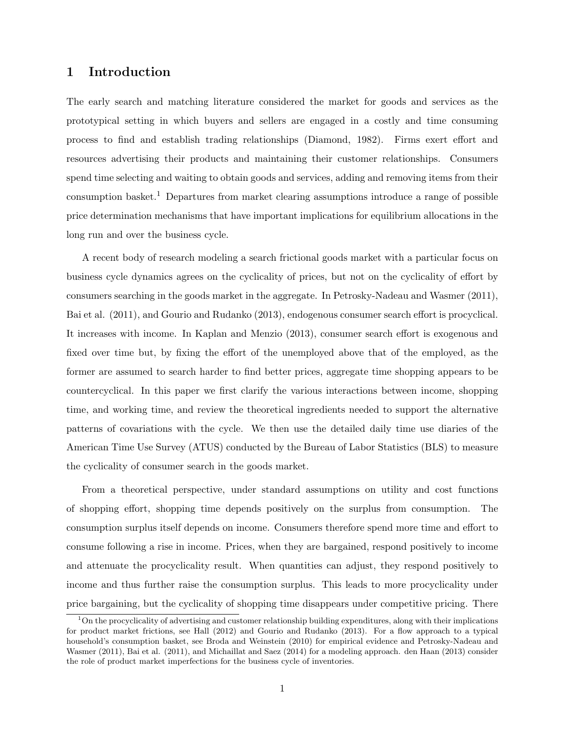#### 1 Introduction

The early search and matching literature considered the market for goods and services as the prototypical setting in which buyers and sellers are engaged in a costly and time consuming process to find and establish trading relationships (Diamond, 1982). Firms exert effort and resources advertising their products and maintaining their customer relationships. Consumers spend time selecting and waiting to obtain goods and services, adding and removing items from their consumption basket.<sup>1</sup> Departures from market clearing assumptions introduce a range of possible price determination mechanisms that have important implications for equilibrium allocations in the long run and over the business cycle.

A recent body of research modeling a search frictional goods market with a particular focus on business cycle dynamics agrees on the cyclicality of prices, but not on the cyclicality of effort by consumers searching in the goods market in the aggregate. In Petrosky-Nadeau and Wasmer (2011), Bai et al. (2011), and Gourio and Rudanko (2013), endogenous consumer search effort is procyclical. It increases with income. In Kaplan and Menzio (2013), consumer search effort is exogenous and fixed over time but, by fixing the effort of the unemployed above that of the employed, as the former are assumed to search harder to find better prices, aggregate time shopping appears to be countercyclical. In this paper we first clarify the various interactions between income, shopping time, and working time, and review the theoretical ingredients needed to support the alternative patterns of covariations with the cycle. We then use the detailed daily time use diaries of the American Time Use Survey (ATUS) conducted by the Bureau of Labor Statistics (BLS) to measure the cyclicality of consumer search in the goods market.

From a theoretical perspective, under standard assumptions on utility and cost functions of shopping effort, shopping time depends positively on the surplus from consumption. The consumption surplus itself depends on income. Consumers therefore spend more time and effort to consume following a rise in income. Prices, when they are bargained, respond positively to income and attenuate the procyclicality result. When quantities can adjust, they respond positively to income and thus further raise the consumption surplus. This leads to more procyclicality under price bargaining, but the cyclicality of shopping time disappears under competitive pricing. There

 $1<sup>1</sup>$ On the procyclicality of advertising and customer relationship building expenditures, along with their implications for product market frictions, see Hall (2012) and Gourio and Rudanko (2013). For a flow approach to a typical household's consumption basket, see Broda and Weinstein (2010) for empirical evidence and Petrosky-Nadeau and Wasmer (2011), Bai et al. (2011), and Michaillat and Saez (2014) for a modeling approach. den Haan (2013) consider the role of product market imperfections for the business cycle of inventories.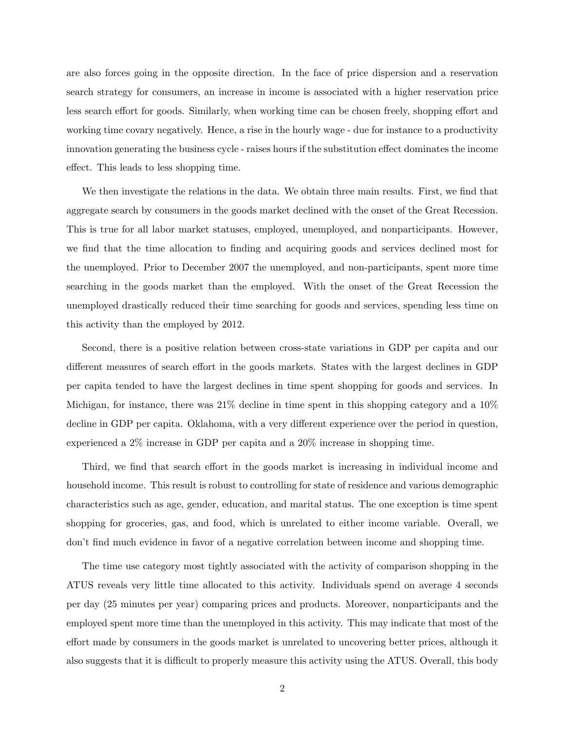are also forces going in the opposite direction. In the face of price dispersion and a reservation search strategy for consumers, an increase in income is associated with a higher reservation price less search effort for goods. Similarly, when working time can be chosen freely, shopping effort and working time covary negatively. Hence, a rise in the hourly wage - due for instance to a productivity innovation generating the business cycle - raises hours if the substitution effect dominates the income effect. This leads to less shopping time.

We then investigate the relations in the data. We obtain three main results. First, we find that aggregate search by consumers in the goods market declined with the onset of the Great Recession. This is true for all labor market statuses, employed, unemployed, and nonparticipants. However, we find that the time allocation to finding and acquiring goods and services declined most for the unemployed. Prior to December 2007 the unemployed, and non-participants, spent more time searching in the goods market than the employed. With the onset of the Great Recession the unemployed drastically reduced their time searching for goods and services, spending less time on this activity than the employed by 2012.

Second, there is a positive relation between cross-state variations in GDP per capita and our different measures of search effort in the goods markets. States with the largest declines in GDP per capita tended to have the largest declines in time spent shopping for goods and services. In Michigan, for instance, there was 21% decline in time spent in this shopping category and a 10% decline in GDP per capita. Oklahoma, with a very different experience over the period in question, experienced a 2% increase in GDP per capita and a 20% increase in shopping time.

Third, we find that search effort in the goods market is increasing in individual income and household income. This result is robust to controlling for state of residence and various demographic characteristics such as age, gender, education, and marital status. The one exception is time spent shopping for groceries, gas, and food, which is unrelated to either income variable. Overall, we don't find much evidence in favor of a negative correlation between income and shopping time.

The time use category most tightly associated with the activity of comparison shopping in the ATUS reveals very little time allocated to this activity. Individuals spend on average 4 seconds per day (25 minutes per year) comparing prices and products. Moreover, nonparticipants and the employed spent more time than the unemployed in this activity. This may indicate that most of the effort made by consumers in the goods market is unrelated to uncovering better prices, although it also suggests that it is difficult to properly measure this activity using the ATUS. Overall, this body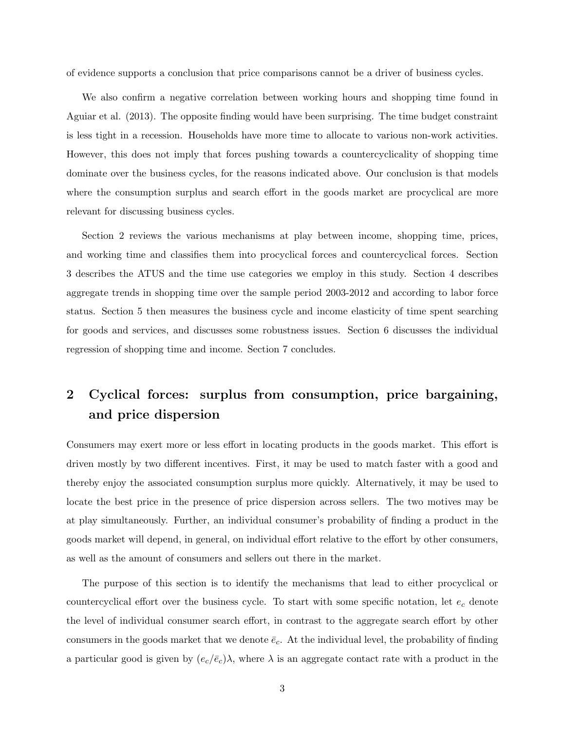of evidence supports a conclusion that price comparisons cannot be a driver of business cycles.

We also confirm a negative correlation between working hours and shopping time found in Aguiar et al. (2013). The opposite finding would have been surprising. The time budget constraint is less tight in a recession. Households have more time to allocate to various non-work activities. However, this does not imply that forces pushing towards a countercyclicality of shopping time dominate over the business cycles, for the reasons indicated above. Our conclusion is that models where the consumption surplus and search effort in the goods market are procyclical are more relevant for discussing business cycles.

Section 2 reviews the various mechanisms at play between income, shopping time, prices, and working time and classifies them into procyclical forces and countercyclical forces. Section 3 describes the ATUS and the time use categories we employ in this study. Section 4 describes aggregate trends in shopping time over the sample period 2003-2012 and according to labor force status. Section 5 then measures the business cycle and income elasticity of time spent searching for goods and services, and discusses some robustness issues. Section 6 discusses the individual regression of shopping time and income. Section 7 concludes.

# 2 Cyclical forces: surplus from consumption, price bargaining, and price dispersion

Consumers may exert more or less effort in locating products in the goods market. This effort is driven mostly by two different incentives. First, it may be used to match faster with a good and thereby enjoy the associated consumption surplus more quickly. Alternatively, it may be used to locate the best price in the presence of price dispersion across sellers. The two motives may be at play simultaneously. Further, an individual consumer's probability of finding a product in the goods market will depend, in general, on individual effort relative to the effort by other consumers, as well as the amount of consumers and sellers out there in the market.

The purpose of this section is to identify the mechanisms that lead to either procyclical or countercyclical effort over the business cycle. To start with some specific notation, let  $e_c$  denote the level of individual consumer search effort, in contrast to the aggregate search effort by other consumers in the goods market that we denote  $\bar{e}_c$ . At the individual level, the probability of finding a particular good is given by  $(e_c/\bar{e}_c)$  $\lambda$ , where  $\lambda$  is an aggregate contact rate with a product in the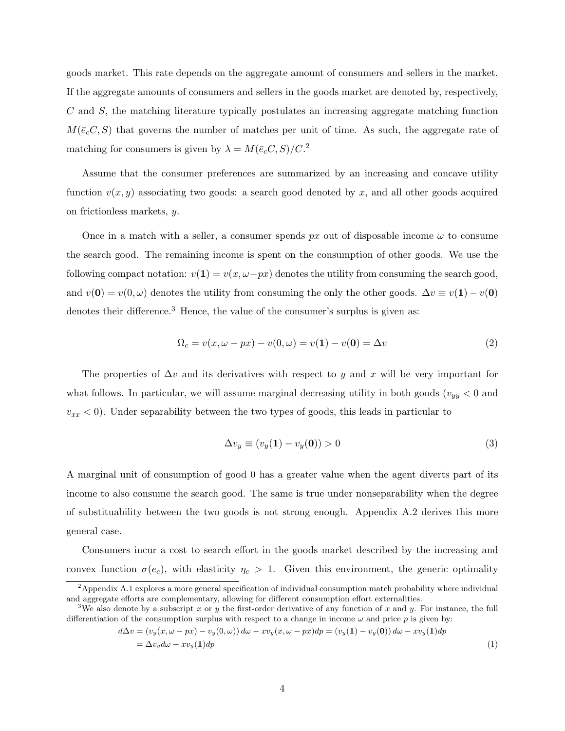goods market. This rate depends on the aggregate amount of consumers and sellers in the market. If the aggregate amounts of consumers and sellers in the goods market are denoted by, respectively, C and S, the matching literature typically postulates an increasing aggregate matching function  $M(\bar{e}_cC, S)$  that governs the number of matches per unit of time. As such, the aggregate rate of matching for consumers is given by  $\lambda = M(\bar{e}_c C, S)/C^2$ .

Assume that the consumer preferences are summarized by an increasing and concave utility function  $v(x, y)$  associating two goods: a search good denoted by x, and all other goods acquired on frictionless markets, y.

Once in a match with a seller, a consumer spends  $px$  out of disposable income  $\omega$  to consume the search good. The remaining income is spent on the consumption of other goods. We use the following compact notation:  $v(1) = v(x, \omega - px)$  denotes the utility from consuming the search good, and  $v(\mathbf{0}) = v(0, \omega)$  denotes the utility from consuming the only the other goods.  $\Delta v \equiv v(\mathbf{1}) - v(\mathbf{0})$ denotes their difference.<sup>3</sup> Hence, the value of the consumer's surplus is given as:

$$
\Omega_c = v(x, \omega - px) - v(0, \omega) = v(1) - v(0) = \Delta v \tag{2}
$$

The properties of  $\Delta v$  and its derivatives with respect to y and x will be very important for what follows. In particular, we will assume marginal decreasing utility in both goods ( $v_{yy}$  < 0 and  $v_{xx}$  < 0). Under separability between the two types of goods, this leads in particular to

$$
\Delta v_y \equiv (v_y(1) - v_y(0)) > 0 \tag{3}
$$

A marginal unit of consumption of good 0 has a greater value when the agent diverts part of its income to also consume the search good. The same is true under nonseparability when the degree of substituability between the two goods is not strong enough. Appendix A.2 derives this more general case.

Consumers incur a cost to search effort in the goods market described by the increasing and convex function  $\sigma(e_c)$ , with elasticity  $\eta_c > 1$ . Given this environment, the generic optimality

$$
d\Delta v = (v_y(x, \omega - px) - v_y(0, \omega)) d\omega - xv_y(x, \omega - px) dp = (v_y(1) - v_y(0)) d\omega - xv_y(1) dp
$$
  
=  $\Delta v_y d\omega - xv_y(1) dp$  (1)

<sup>2</sup>Appendix A.1 explores a more general specification of individual consumption match probability where individual and aggregate efforts are complementary, allowing for different consumption effort externalities.

<sup>&</sup>lt;sup>3</sup>We also denote by a subscript x or y the first-order derivative of any function of x and y. For instance, the full differentiation of the consumption surplus with respect to a change in income  $\omega$  and price p is given by: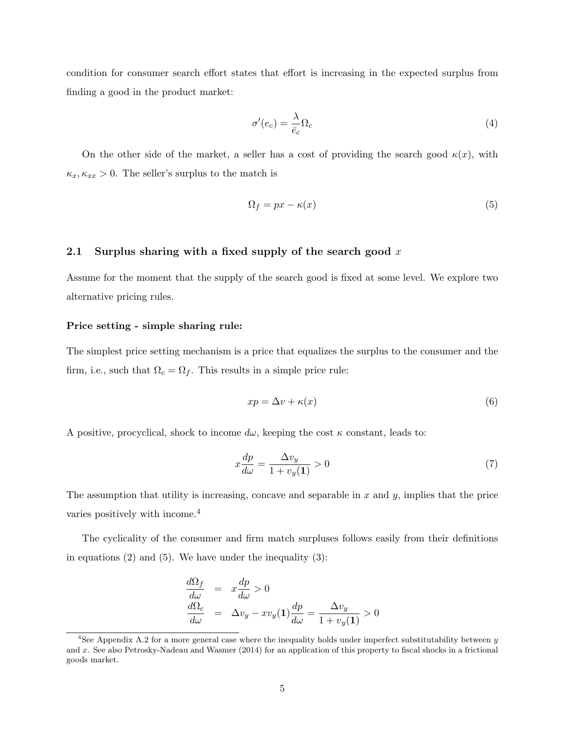condition for consumer search effort states that effort is increasing in the expected surplus from finding a good in the product market:

$$
\sigma'(e_c) = \frac{\lambda}{\bar{e}_c} \Omega_c \tag{4}
$$

On the other side of the market, a seller has a cost of providing the search good  $\kappa(x)$ , with  $\kappa_x, \kappa_{xx} > 0$ . The seller's surplus to the match is

$$
\Omega_f = px - \kappa(x) \tag{5}
$$

#### 2.1 Surplus sharing with a fixed supply of the search good  $x$

Assume for the moment that the supply of the search good is fixed at some level. We explore two alternative pricing rules.

#### Price setting - simple sharing rule:

The simplest price setting mechanism is a price that equalizes the surplus to the consumer and the firm, i.e., such that  $\Omega_c = \Omega_f$ . This results in a simple price rule:

$$
xp = \Delta v + \kappa(x) \tag{6}
$$

A positive, procyclical, shock to income  $d\omega$ , keeping the cost  $\kappa$  constant, leads to:

$$
x\frac{dp}{d\omega} = \frac{\Delta v_y}{1 + v_y(1)} > 0\tag{7}
$$

The assumption that utility is increasing, concave and separable in  $x$  and  $y$ , implies that the price varies positively with income.<sup>4</sup>

The cyclicality of the consumer and firm match surpluses follows easily from their definitions in equations  $(2)$  and  $(5)$ . We have under the inequality  $(3)$ :

$$
\frac{d\Omega_f}{d\omega} = x\frac{dp}{d\omega} > 0
$$
\n
$$
\frac{d\Omega_c}{d\omega} = \Delta v_y - xv_y(1)\frac{dp}{d\omega} = \frac{\Delta v_y}{1 + v_y(1)} > 0
$$

<sup>&</sup>lt;sup>4</sup>See Appendix A.2 for a more general case where the inequality holds under imperfect substitutability between  $y$ and x. See also Petrosky-Nadeau and Wasmer (2014) for an application of this property to fiscal shocks in a frictional goods market.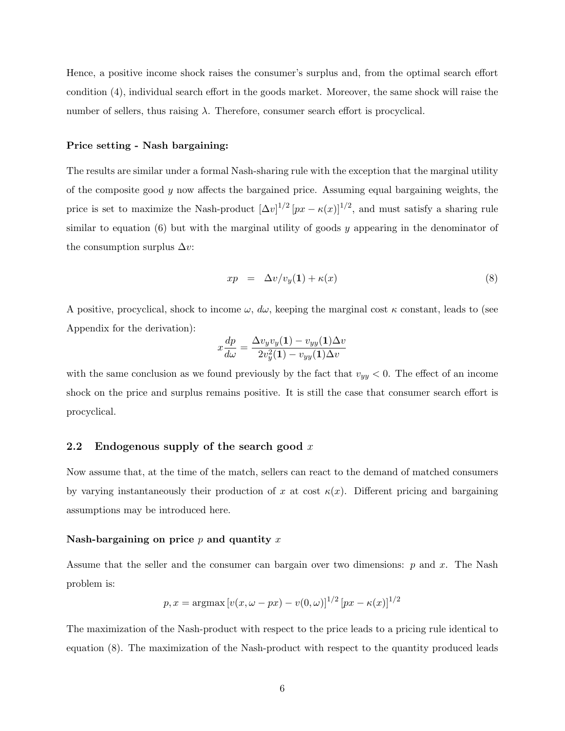Hence, a positive income shock raises the consumer's surplus and, from the optimal search effort condition (4), individual search effort in the goods market. Moreover, the same shock will raise the number of sellers, thus raising  $\lambda$ . Therefore, consumer search effort is procyclical.

#### Price setting - Nash bargaining:

The results are similar under a formal Nash-sharing rule with the exception that the marginal utility of the composite good  $y$  now affects the bargained price. Assuming equal bargaining weights, the price is set to maximize the Nash-product  $[\Delta v]^{1/2} [px - \kappa(x)]^{1/2}$ , and must satisfy a sharing rule similar to equation  $(6)$  but with the marginal utility of goods y appearing in the denominator of the consumption surplus  $\Delta v$ :

$$
xp = \Delta v / v_y(1) + \kappa(x) \tag{8}
$$

A positive, procyclical, shock to income  $\omega$ ,  $d\omega$ , keeping the marginal cost  $\kappa$  constant, leads to (see Appendix for the derivation):

$$
x\frac{dp}{d\omega} = \frac{\Delta v_y v_y(1) - v_{yy}(1)\Delta v}{2v_y^2(1) - v_{yy}(1)\Delta v}
$$

with the same conclusion as we found previously by the fact that  $v_{yy} < 0$ . The effect of an income shock on the price and surplus remains positive. It is still the case that consumer search effort is procyclical.

#### 2.2 Endogenous supply of the search good  $x$

Now assume that, at the time of the match, sellers can react to the demand of matched consumers by varying instantaneously their production of x at cost  $\kappa(x)$ . Different pricing and bargaining assumptions may be introduced here.

#### Nash-bargaining on price  $p$  and quantity  $x$

Assume that the seller and the consumer can bargain over two dimensions:  $p$  and  $x$ . The Nash problem is:

$$
p, x = \arg\max [v(x, \omega - px) - v(0, \omega)]^{1/2} [px - \kappa(x)]^{1/2}
$$

The maximization of the Nash-product with respect to the price leads to a pricing rule identical to equation (8). The maximization of the Nash-product with respect to the quantity produced leads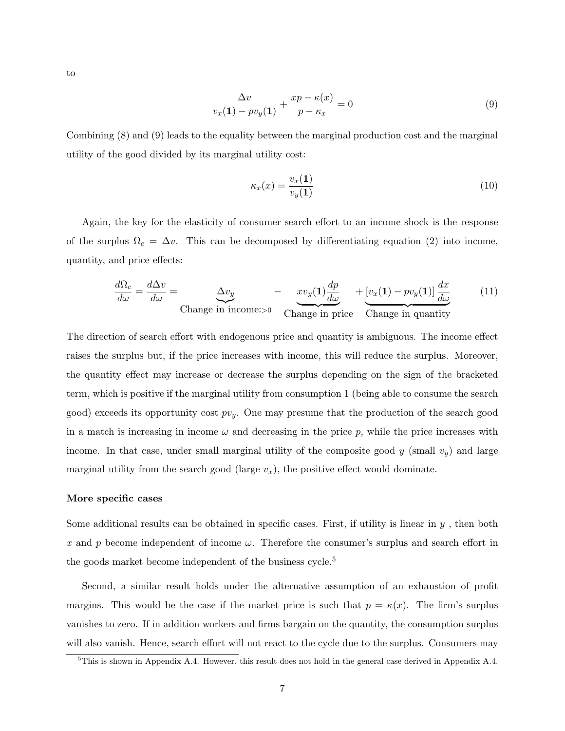to

$$
\frac{\Delta v}{v_x(1) - pv_y(1)} + \frac{xp - \kappa(x)}{p - \kappa_x} = 0
$$
\n(9)

Combining (8) and (9) leads to the equality between the marginal production cost and the marginal utility of the good divided by its marginal utility cost:

$$
\kappa_x(x) = \frac{v_x(1)}{v_y(1)}\tag{10}
$$

Again, the key for the elasticity of consumer search effort to an income shock is the response of the surplus  $\Omega_c = \Delta v$ . This can be decomposed by differentiating equation (2) into income, quantity, and price effects:

$$
\frac{d\Omega_c}{d\omega} = \frac{d\Delta v}{d\omega} = \underbrace{\Delta v_y}_{\text{Change in income:} > 0} - \underbrace{xv_y(1)\frac{dp}{d\omega}}_{\text{Change in price}} + \underbrace{[v_x(1) - pv_y(1)]\frac{dx}{d\omega}}_{\text{Change in quantity}} \tag{11}
$$

The direction of search effort with endogenous price and quantity is ambiguous. The income effect raises the surplus but, if the price increases with income, this will reduce the surplus. Moreover, the quantity effect may increase or decrease the surplus depending on the sign of the bracketed term, which is positive if the marginal utility from consumption 1 (being able to consume the search good) exceeds its opportunity cost  $pv_y$ . One may presume that the production of the search good in a match is increasing in income  $\omega$  and decreasing in the price p, while the price increases with income. In that case, under small marginal utility of the composite good  $y$  (small  $v_y$ ) and large marginal utility from the search good (large  $v_x$ ), the positive effect would dominate.

#### More specific cases

Some additional results can be obtained in specific cases. First, if utility is linear in  $y$ , then both x and p become independent of income  $\omega$ . Therefore the consumer's surplus and search effort in the goods market become independent of the business cycle.<sup>5</sup>

Second, a similar result holds under the alternative assumption of an exhaustion of profit margins. This would be the case if the market price is such that  $p = \kappa(x)$ . The firm's surplus vanishes to zero. If in addition workers and firms bargain on the quantity, the consumption surplus will also vanish. Hence, search effort will not react to the cycle due to the surplus. Consumers may

<sup>&</sup>lt;sup>5</sup>This is shown in Appendix A.4. However, this result does not hold in the general case derived in Appendix A.4.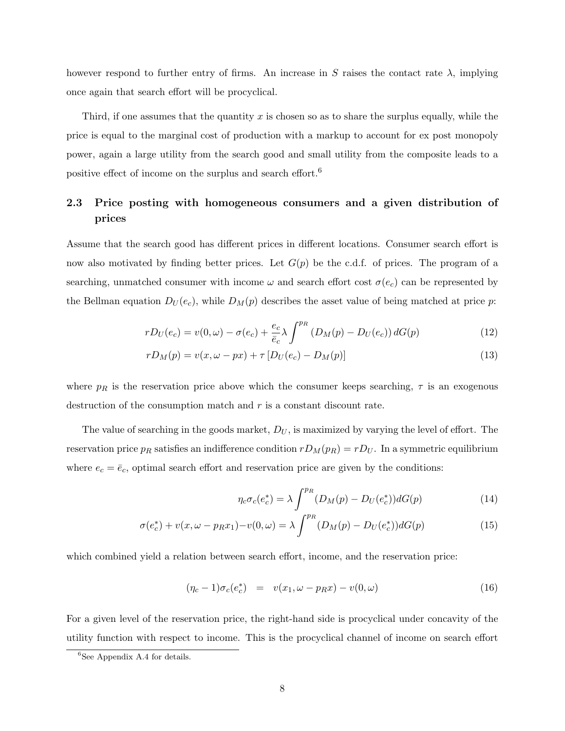however respond to further entry of firms. An increase in S raises the contact rate  $\lambda$ , implying once again that search effort will be procyclical.

Third, if one assumes that the quantity  $x$  is chosen so as to share the surplus equally, while the price is equal to the marginal cost of production with a markup to account for ex post monopoly power, again a large utility from the search good and small utility from the composite leads to a positive effect of income on the surplus and search effort.<sup>6</sup>

## 2.3 Price posting with homogeneous consumers and a given distribution of prices

Assume that the search good has different prices in different locations. Consumer search effort is now also motivated by finding better prices. Let  $G(p)$  be the c.d.f. of prices. The program of a searching, unmatched consumer with income  $\omega$  and search effort cost  $\sigma(e_c)$  can be represented by the Bellman equation  $D_U(e_c)$ , while  $D_M(p)$  describes the asset value of being matched at price p:

$$
rD_U(e_c) = v(0,\omega) - \sigma(e_c) + \frac{e_c}{\bar{e}_c} \lambda \int^{p_R} (D_M(p) - D_U(e_c)) dG(p)
$$
\n(12)

$$
rD_M(p) = v(x, \omega - px) + \tau [D_U(e_c) - D_M(p)]
$$
\n(13)

where  $p_R$  is the reservation price above which the consumer keeps searching,  $\tau$  is an exogenous destruction of the consumption match and  $r$  is a constant discount rate.

The value of searching in the goods market,  $D_U$ , is maximized by varying the level of effort. The reservation price  $p_R$  satisfies an indifference condition  $rD_M(p_R) = rD_U$ . In a symmetric equilibrium where  $e_c = \bar{e}_c$ , optimal search effort and reservation price are given by the conditions:

$$
\eta_c \sigma_c(e_c^*) = \lambda \int^{p_R} (D_M(p) - D_U(e_c^*)) dG(p) \tag{14}
$$

$$
\sigma(e_c^*) + v(x, \omega - p_R x_1) - v(0, \omega) = \lambda \int^{p_R} (D_M(p) - D_U(e_c^*)) dG(p)
$$
\n(15)

which combined yield a relation between search effort, income, and the reservation price:

$$
(\eta_c - 1)\sigma_c(e_c^*) = v(x_1, \omega - p_R x) - v(0, \omega)
$$
\n(16)

For a given level of the reservation price, the right-hand side is procyclical under concavity of the utility function with respect to income. This is the procyclical channel of income on search effort

 ${}^{6}$ See Appendix A.4 for details.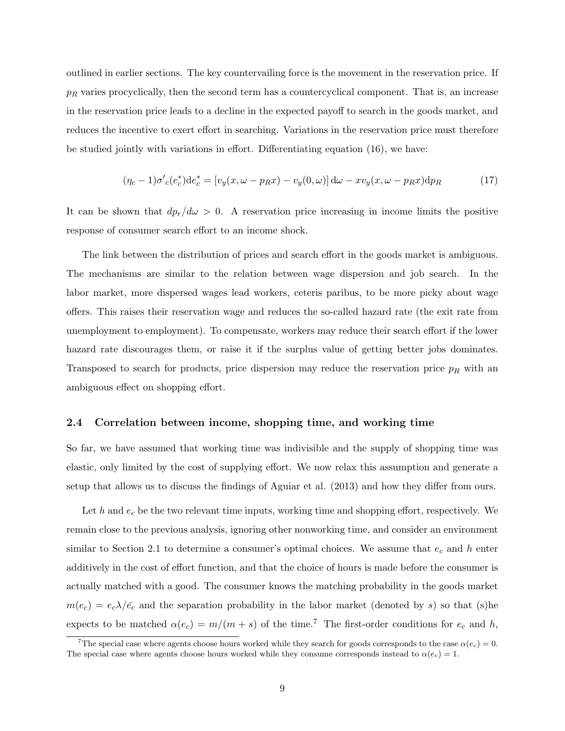outlined in earlier sections. The key countervailing force is the movement in the reservation price. If  $p_R$  varies procyclically, then the second term has a countercyclical component. That is, an increase in the reservation price leads to a decline in the expected payoff to search in the goods market, and reduces the incentive to exert effort in searching. Variations in the reservation price must therefore be studied jointly with variations in effort. Differentiating equation (16), we have:

$$
(\eta_c - 1)\sigma'_c(e_c^*)\mathrm{d}e_c^* = [v_y(x, \omega - p_R x) - v_y(0, \omega)]\,\mathrm{d}\omega - xv_y(x, \omega - p_R x)\mathrm{d}p_R\tag{17}
$$

It can be shown that  $dp_r/d\omega > 0$ . A reservation price increasing in income limits the positive response of consumer search effort to an income shock.

The link between the distribution of prices and search effort in the goods market is ambiguous. The mechanisms are similar to the relation between wage dispersion and job search. In the labor market, more dispersed wages lead workers, ceteris paribus, to be more picky about wage offers. This raises their reservation wage and reduces the so-called hazard rate (the exit rate from unemployment to employment). To compensate, workers may reduce their search effort if the lower hazard rate discourages them, or raise it if the surplus value of getting better jobs dominates. Transposed to search for products, price dispersion may reduce the reservation price  $p_R$  with an ambiguous effect on shopping effort.

#### 2.4 Correlation between income, shopping time, and working time

So far, we have assumed that working time was indivisible and the supply of shopping time was elastic, only limited by the cost of supplying effort. We now relax this assumption and generate a setup that allows us to discuss the findings of Aguiar et al. (2013) and how they differ from ours.

Let h and  $e_c$  be the two relevant time inputs, working time and shopping effort, respectively. We remain close to the previous analysis, ignoring other nonworking time, and consider an environment similar to Section 2.1 to determine a consumer's optimal choices. We assume that  $e_c$  and h enter additively in the cost of effort function, and that the choice of hours is made before the consumer is actually matched with a good. The consumer knows the matching probability in the goods market  $m(e_c) = e_c \lambda / \bar{e_c}$  and the separation probability in the labor market (denoted by s) so that (s)he expects to be matched  $\alpha(e_c) = m/(m+s)$  of the time.<sup>7</sup> The first-order conditions for  $e_c$  and h,

<sup>&</sup>lt;sup>7</sup>The special case where agents choose hours worked while they search for goods corresponds to the case  $\alpha(e_c) = 0$ . The special case where agents choose hours worked while they consume corresponds instead to  $\alpha(e_c) = 1$ .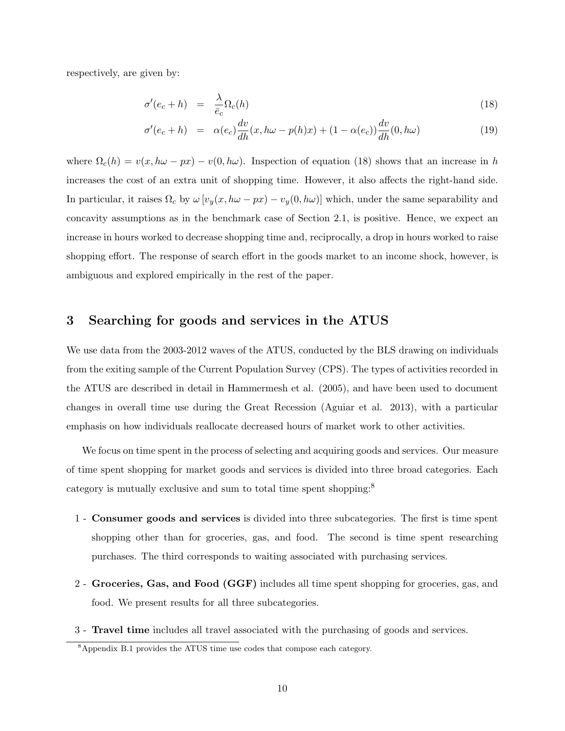respectively, are given by:

$$
\sigma'(e_c + h) = \frac{\lambda}{\bar{e}_c} \Omega_c(h) \tag{18}
$$

$$
\sigma'(e_c + h) = \alpha(e_c) \frac{dv}{dh}(x, h\omega - p(h)x) + (1 - \alpha(e_c)) \frac{dv}{dh}(0, h\omega)
$$
\n(19)

where  $\Omega_c(h) = v(x, h\omega - px) - v(0, h\omega)$ . Inspection of equation (18) shows that an increase in h increases the cost of an extra unit of shopping time. However, it also affects the right-hand side. In particular, it raises  $\Omega_c$  by  $\omega \left[ v_y(x, h\omega - px) - v_y(0, h\omega) \right]$  which, under the same separability and concavity assumptions as in the benchmark case of Section 2.1, is positive. Hence, we expect an increase in hours worked to decrease shopping time and, reciprocally, a drop in hours worked to raise shopping effort. The response of search effort in the goods market to an income shock, however, is ambiguous and explored empirically in the rest of the paper.

#### 3 Searching for goods and services in the ATUS

We use data from the 2003-2012 waves of the ATUS, conducted by the BLS drawing on individuals from the exiting sample of the Current Population Survey (CPS). The types of activities recorded in the ATUS are described in detail in Hammermesh et al. (2005), and have been used to document changes in overall time use during the Great Recession (Aguiar et al. 2013), with a particular emphasis on how individuals reallocate decreased hours of market work to other activities.

We focus on time spent in the process of selecting and acquiring goods and services. Our measure of time spent shopping for market goods and services is divided into three broad categories. Each category is mutually exclusive and sum to total time spent shopping:<sup>8</sup>

- 1 Consumer goods and services is divided into three subcategories. The first is time spent shopping other than for groceries, gas, and food. The second is time spent researching purchases. The third corresponds to waiting associated with purchasing services.
- 2 Groceries, Gas, and Food (GGF) includes all time spent shopping for groceries, gas, and food. We present results for all three subcategories.
- 3 Travel time includes all travel associated with the purchasing of goods and services.

 $8$ Appendix B.1 provides the ATUS time use codes that compose each category.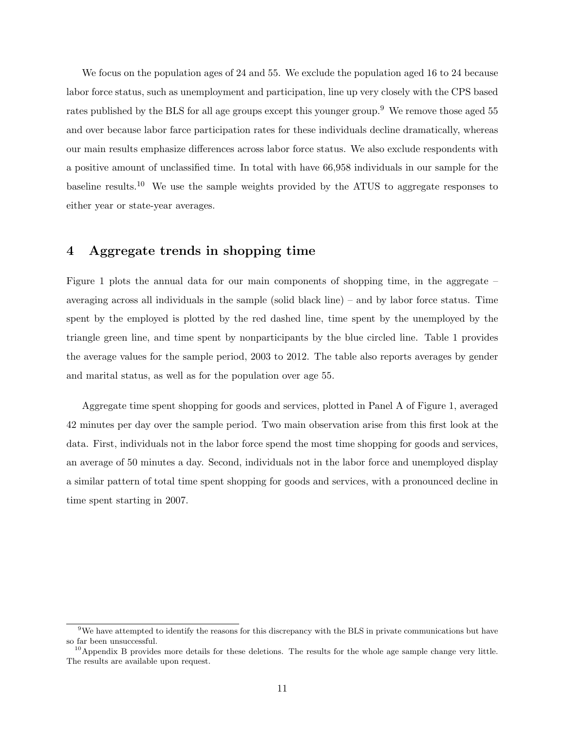We focus on the population ages of 24 and 55. We exclude the population aged 16 to 24 because labor force status, such as unemployment and participation, line up very closely with the CPS based rates published by the BLS for all age groups except this younger group.<sup>9</sup> We remove those aged 55 and over because labor farce participation rates for these individuals decline dramatically, whereas our main results emphasize differences across labor force status. We also exclude respondents with a positive amount of unclassified time. In total with have 66,958 individuals in our sample for the baseline results.<sup>10</sup> We use the sample weights provided by the ATUS to aggregate responses to either year or state-year averages.

## 4 Aggregate trends in shopping time

Figure 1 plots the annual data for our main components of shopping time, in the aggregate – averaging across all individuals in the sample (solid black line) – and by labor force status. Time spent by the employed is plotted by the red dashed line, time spent by the unemployed by the triangle green line, and time spent by nonparticipants by the blue circled line. Table 1 provides the average values for the sample period, 2003 to 2012. The table also reports averages by gender and marital status, as well as for the population over age 55.

Aggregate time spent shopping for goods and services, plotted in Panel A of Figure 1, averaged 42 minutes per day over the sample period. Two main observation arise from this first look at the data. First, individuals not in the labor force spend the most time shopping for goods and services, an average of 50 minutes a day. Second, individuals not in the labor force and unemployed display a similar pattern of total time spent shopping for goods and services, with a pronounced decline in time spent starting in 2007.

<sup>&</sup>lt;sup>9</sup>We have attempted to identify the reasons for this discrepancy with the BLS in private communications but have so far been unsuccessful.

 $10$ Appendix B provides more details for these deletions. The results for the whole age sample change very little. The results are available upon request.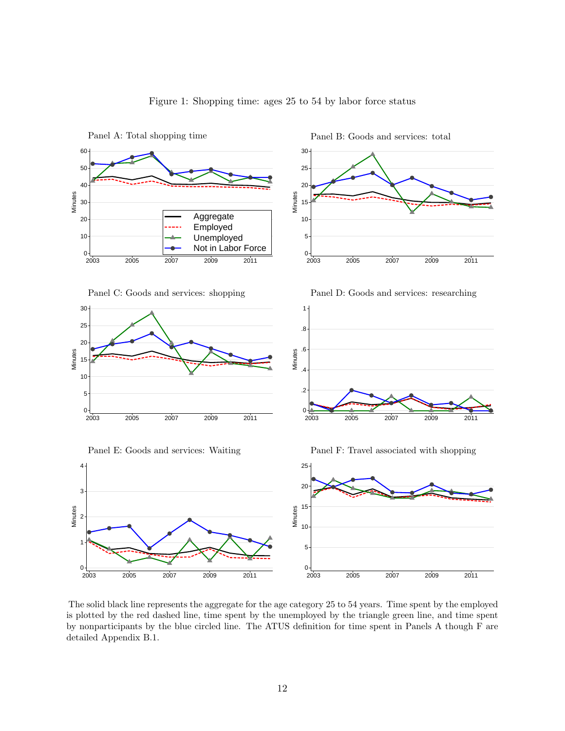

#### Figure 1: Shopping time: ages 25 to 54 by labor force status

The solid black line represents the aggregate for the age category 25 to 54 years. Time spent by the employed is plotted by the red dashed line, time spent by the unemployed by the triangle green line, and time spent by nonparticipants by the blue circled line. The ATUS definition for time spent in Panels A though F are detailed Appendix B.1.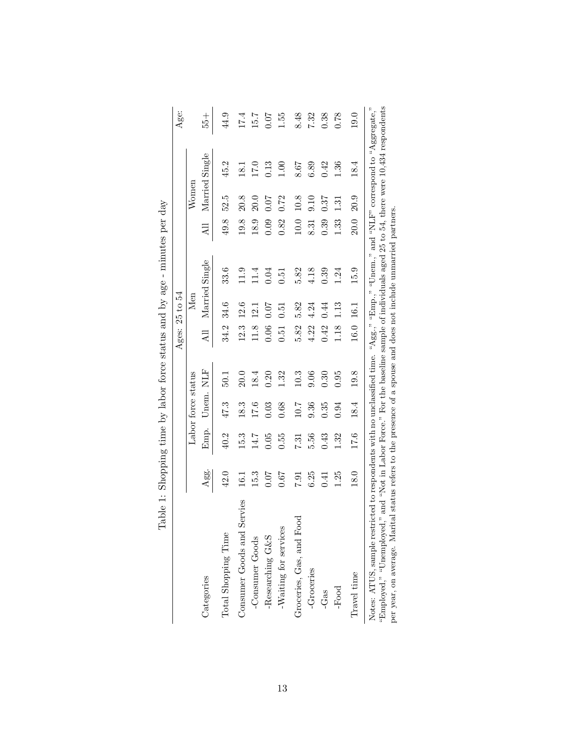|                                                                                                                                                                                                                                                                                        |      |      |                    |      |      | Ages: 25 to 54 |                                                                                                               |      |          |                | Age:  |
|----------------------------------------------------------------------------------------------------------------------------------------------------------------------------------------------------------------------------------------------------------------------------------------|------|------|--------------------|------|------|----------------|---------------------------------------------------------------------------------------------------------------|------|----------|----------------|-------|
|                                                                                                                                                                                                                                                                                        |      |      | Labor force status |      |      | Men            |                                                                                                               |      | Womer    |                |       |
| Categories                                                                                                                                                                                                                                                                             | Agg. | Emp. | Unem. NLF          |      | All  |                | Married Single                                                                                                | All  |          | Married Single | $+92$ |
| Total Shopping Time                                                                                                                                                                                                                                                                    | 42.0 | 40.2 | 47.3               | 50.1 | 34.2 | 34.6           | 33.6                                                                                                          | 49.8 | 52.5     | 45.2           | 44.9  |
| Consumer Goods and Servies                                                                                                                                                                                                                                                             | 16.1 | 15.3 | 18.3               | 20.0 | 12.3 | 12.6           | 11.9                                                                                                          | 19.8 | 20.8     | 18.1           | 17.4  |
| -Consumer Goods                                                                                                                                                                                                                                                                        | 15.3 | 14.7 | 17.6               | 18.4 | 11.8 | 12.1           | 11.4                                                                                                          | 18.9 | 20.0     | 17.0           | 15.7  |
| -Researching G&S                                                                                                                                                                                                                                                                       | 0.07 | 0.05 | 0.03               | 0.20 | 0.06 | 0.07           | 0.04                                                                                                          | 0.09 | 0.07     | 0.13           | 0.07  |
| $\boldsymbol{\mathsf{W}}$ aiting for services                                                                                                                                                                                                                                          | 0.67 | 0.55 | 0.68               | 1.32 | 0.51 | 0.51           | $\rm 50$                                                                                                      | 0.82 | 0.72     | 00.1           | 1.55  |
| Groceries, Gas, and Food                                                                                                                                                                                                                                                               | 19.7 | 7.31 | 10.7               | 10.3 | 5.82 | 5.82           | 5.82                                                                                                          | 10.0 | 10.8     | 8.67           | 8.48  |
| -Groceries                                                                                                                                                                                                                                                                             | 6.25 | 5.56 | 0.36               | 0.06 | 4.22 | 4.24           | 4.18                                                                                                          | 8.31 | 9.10     | 6.89           | 7.32  |
| -Gas                                                                                                                                                                                                                                                                                   | 141  | 0.43 | 0.35               | 0.30 | 0.42 | 0.44           | 0.39                                                                                                          | 0.39 | 0.37     | 0.42           | 0.38  |
| -Food                                                                                                                                                                                                                                                                                  | 1.25 | 1.32 | 0.94               | 0.95 | 1.18 | 1.13           | 1.24                                                                                                          | 1.33 | $1.31\,$ | 1.36           | 0.78  |
| Travel time                                                                                                                                                                                                                                                                            | 18.0 | 17.6 | 18.4               | 19.8 | 16.0 | 16.1           | 15.9                                                                                                          | 20.0 | 20.9     | 18.4           | 19.0  |
| Notes: ATUS, sample restricted to respondents with no unclassified time. "Agg," "Emp.," "Unem.," and "NLF" correspond to "Aggregate,"<br>per year, on average. Marital status refers to the presence of a spouse and does not include unmarried partners.<br>"Employed," "Unemployed," |      |      |                    |      |      |                | and "Not in Labor Force." For the baseline sample of individuals aged 25 to 54, there were 10,434 respondents |      |          |                |       |

Table 1: Shopping time by labor force status and by age - minutes per day Table 1: Shopping time by labor force status and by age - minutes per day

13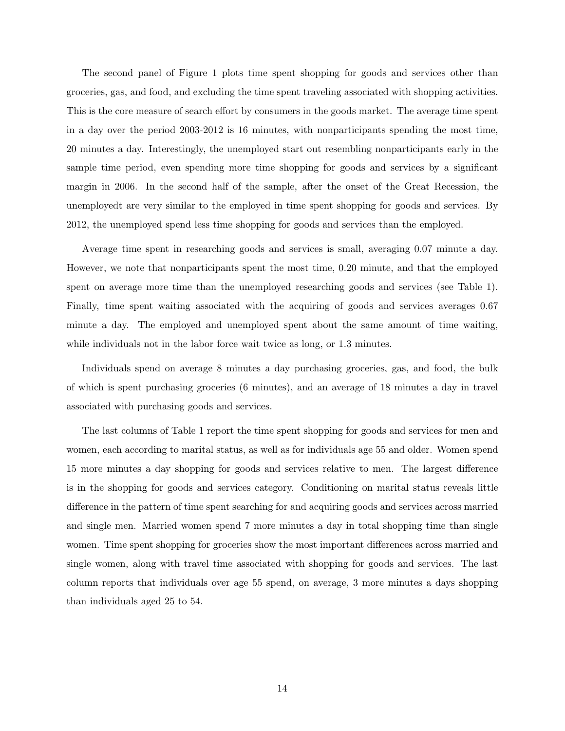The second panel of Figure 1 plots time spent shopping for goods and services other than groceries, gas, and food, and excluding the time spent traveling associated with shopping activities. This is the core measure of search effort by consumers in the goods market. The average time spent in a day over the period 2003-2012 is 16 minutes, with nonparticipants spending the most time, 20 minutes a day. Interestingly, the unemployed start out resembling nonparticipants early in the sample time period, even spending more time shopping for goods and services by a significant margin in 2006. In the second half of the sample, after the onset of the Great Recession, the unemployedt are very similar to the employed in time spent shopping for goods and services. By 2012, the unemployed spend less time shopping for goods and services than the employed.

Average time spent in researching goods and services is small, averaging 0.07 minute a day. However, we note that nonparticipants spent the most time, 0.20 minute, and that the employed spent on average more time than the unemployed researching goods and services (see Table 1). Finally, time spent waiting associated with the acquiring of goods and services averages 0.67 minute a day. The employed and unemployed spent about the same amount of time waiting, while individuals not in the labor force wait twice as long, or 1.3 minutes.

Individuals spend on average 8 minutes a day purchasing groceries, gas, and food, the bulk of which is spent purchasing groceries (6 minutes), and an average of 18 minutes a day in travel associated with purchasing goods and services.

The last columns of Table 1 report the time spent shopping for goods and services for men and women, each according to marital status, as well as for individuals age 55 and older. Women spend 15 more minutes a day shopping for goods and services relative to men. The largest difference is in the shopping for goods and services category. Conditioning on marital status reveals little difference in the pattern of time spent searching for and acquiring goods and services across married and single men. Married women spend 7 more minutes a day in total shopping time than single women. Time spent shopping for groceries show the most important differences across married and single women, along with travel time associated with shopping for goods and services. The last column reports that individuals over age 55 spend, on average, 3 more minutes a days shopping than individuals aged 25 to 54.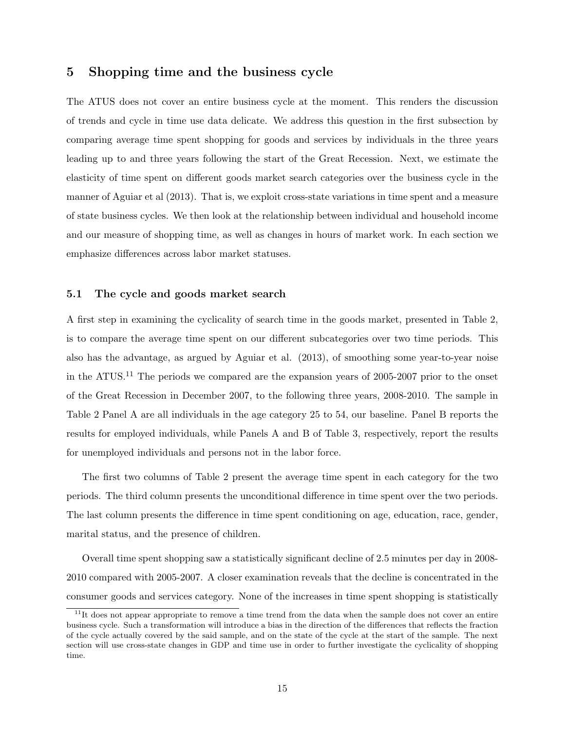#### 5 Shopping time and the business cycle

The ATUS does not cover an entire business cycle at the moment. This renders the discussion of trends and cycle in time use data delicate. We address this question in the first subsection by comparing average time spent shopping for goods and services by individuals in the three years leading up to and three years following the start of the Great Recession. Next, we estimate the elasticity of time spent on different goods market search categories over the business cycle in the manner of Aguiar et al (2013). That is, we exploit cross-state variations in time spent and a measure of state business cycles. We then look at the relationship between individual and household income and our measure of shopping time, as well as changes in hours of market work. In each section we emphasize differences across labor market statuses.

#### 5.1 The cycle and goods market search

A first step in examining the cyclicality of search time in the goods market, presented in Table 2, is to compare the average time spent on our different subcategories over two time periods. This also has the advantage, as argued by Aguiar et al. (2013), of smoothing some year-to-year noise in the ATUS.<sup>11</sup> The periods we compared are the expansion years of 2005-2007 prior to the onset of the Great Recession in December 2007, to the following three years, 2008-2010. The sample in Table 2 Panel A are all individuals in the age category 25 to 54, our baseline. Panel B reports the results for employed individuals, while Panels A and B of Table 3, respectively, report the results for unemployed individuals and persons not in the labor force.

The first two columns of Table 2 present the average time spent in each category for the two periods. The third column presents the unconditional difference in time spent over the two periods. The last column presents the difference in time spent conditioning on age, education, race, gender, marital status, and the presence of children.

Overall time spent shopping saw a statistically significant decline of 2.5 minutes per day in 2008- 2010 compared with 2005-2007. A closer examination reveals that the decline is concentrated in the consumer goods and services category. None of the increases in time spent shopping is statistically

 $11$ It does not appear appropriate to remove a time trend from the data when the sample does not cover an entire business cycle. Such a transformation will introduce a bias in the direction of the differences that reflects the fraction of the cycle actually covered by the said sample, and on the state of the cycle at the start of the sample. The next section will use cross-state changes in GDP and time use in order to further investigate the cyclicality of shopping time.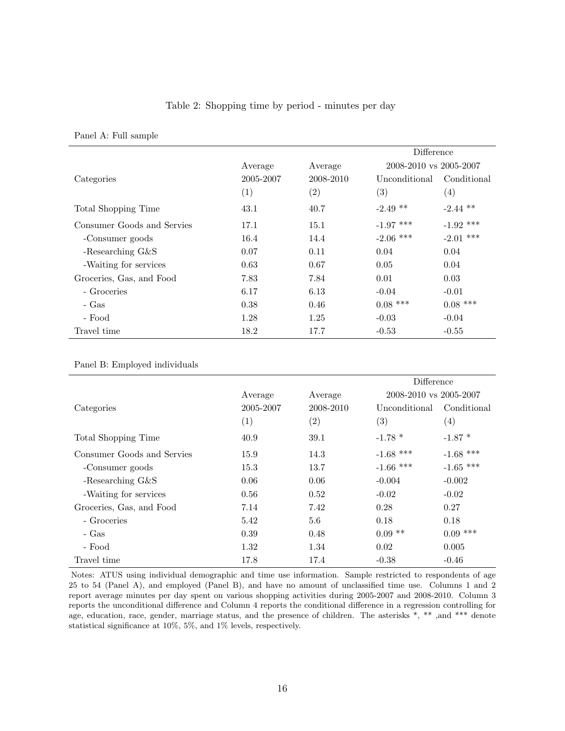#### Table 2: Shopping time by period - minutes per day

Panel A: Full sample

|                            |                   |                   | Difference             |                   |
|----------------------------|-------------------|-------------------|------------------------|-------------------|
|                            | Average           | Average           | 2008-2010 vs 2005-2007 |                   |
| Categories                 | 2005-2007         | 2008-2010         | Unconditional          | Conditional       |
|                            | $\left( 1\right)$ | $\left( 2\right)$ | (3)                    | $\left( 4\right)$ |
| Total Shopping Time        | 43.1              | 40.7              | $-2.49$ **             | $-2.44$ **        |
| Consumer Goods and Servies | 17.1              | 15.1              | $-1.97$ ***            | $-1.92$ ***       |
| -Consumer goods            | 16.4              | 14.4              | $-2.06$ ***            | $-2.01$ ***       |
| -Researching $G\&S$        | 0.07              | 0.11              | 0.04                   | 0.04              |
| -Waiting for services      | 0.63              | 0.67              | 0.05                   | 0.04              |
| Groceries, Gas, and Food   | 7.83              | 7.84              | 0.01                   | 0.03              |
| - Groceries                | 6.17              | 6.13              | $-0.04$                | $-0.01$           |
| - Gas                      | 0.38              | 0.46              | $0.08$ ***             | $0.08$ ***        |
| - Food                     | 1.28              | 1.25              | $-0.03$                | $-0.04$           |
| Travel time                | 18.2              | 17.7              | $-0.53$                | $-0.55$           |

#### Panel B: Employed individuals

|                            |           |                   | Difference             |             |
|----------------------------|-----------|-------------------|------------------------|-------------|
|                            | Average   | Average           | 2008-2010 vs 2005-2007 |             |
| Categories                 | 2005-2007 | 2008-2010         | Unconditional          | Conditional |
|                            | (1)       | $\left( 2\right)$ | $\left( 3\right)$      | (4)         |
| Total Shopping Time        | 40.9      | 39.1              | $-1.78*$               | $-1.87*$    |
| Consumer Goods and Servies | 15.9      | 14.3              | $-1.68$ ***            | $-1.68$ *** |
| -Consumer goods            | 15.3      | 13.7              | $-1.66$ ***            | $-1.65$ *** |
| -Researching $G\&S$        | 0.06      | 0.06              | $-0.004$               | $-0.002$    |
| -Waiting for services      | 0.56      | 0.52              | $-0.02$                | $-0.02$     |
| Groceries, Gas, and Food   | 7.14      | 7.42              | 0.28                   | 0.27        |
| - Groceries                | 5.42      | 5.6               | 0.18                   | 0.18        |
| - Gas                      | 0.39      | 0.48              | $0.09$ **              | $0.09$ ***  |
| - Food                     | 1.32      | 1.34              | 0.02                   | 0.005       |
| Travel time                | 17.8      | 17.4              | $-0.38$                | $-0.46$     |

Notes: ATUS using individual demographic and time use information. Sample restricted to respondents of age 25 to 54 (Panel A), and employed (Panel B), and have no amount of unclassified time use. Columns 1 and 2 report average minutes per day spent on various shopping activities during 2005-2007 and 2008-2010. Column 3 reports the unconditional difference and Column 4 reports the conditional difference in a regression controlling for age, education, race, gender, marriage status, and the presence of children. The asterisks \*, \*\*, and \*\*\* denote statistical significance at 10%, 5%, and 1% levels, respectively.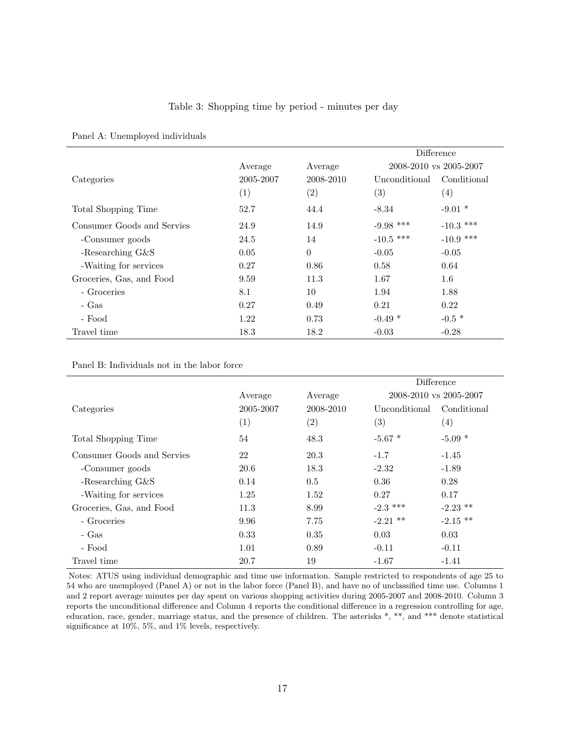#### Table 3: Shopping time by period - minutes per day

|                            |                   |                   | Difference             |                   |
|----------------------------|-------------------|-------------------|------------------------|-------------------|
|                            | Average           | Average           | 2008-2010 vs 2005-2007 |                   |
| Categories                 | 2005-2007         | 2008-2010         | Unconditional          | Conditional       |
|                            | $\left( 1\right)$ | $\left( 2\right)$ | (3)                    | $\left( 4\right)$ |
| Total Shopping Time        | 52.7              | 44.4              | $-8.34$                | $-9.01*$          |
| Consumer Goods and Servies | 24.9              | 14.9              | $-9.98$ ***            | -10.3 ***         |
| -Consumer goods            | 24.5              | 14                | -10.5 ***              | $-10.9$ ***       |
| -Researching $G\&S$        | 0.05              | $\Omega$          | $-0.05$                | $-0.05$           |
| -Waiting for services      | 0.27              | 0.86              | 0.58                   | 0.64              |
| Groceries, Gas, and Food   | 9.59              | 11.3              | 1.67                   | $1.6\,$           |
| - Groceries                | 8.1               | 10                | 1.94                   | 1.88              |
| - Gas                      | 0.27              | 0.49              | 0.21                   | 0.22              |
| - Food                     | 1.22              | 0.73              | $-0.49*$               | $-0.5*$           |
| Travel time                | 18.3              | 18.2              | $-0.03$                | $-0.28$           |

#### Panel A: Unemployed individuals

Panel B: Individuals not in the labor force

|                            |                   |           |                   | Difference             |
|----------------------------|-------------------|-----------|-------------------|------------------------|
|                            | Average           | Average   |                   | 2008-2010 vs 2005-2007 |
| Categories                 | 2005-2007         | 2008-2010 | Unconditional     | Conditional            |
|                            | $\left( 1\right)$ | (2)       | $\left( 3\right)$ | $\left( 4\right)$      |
| Total Shopping Time        | 54                | 48.3      | $-5.67$ *         | $-5.09*$               |
| Consumer Goods and Servies | 22                | 20.3      | $-1.7$            | $-1.45$                |
| -Consumer goods            | 20.6              | 18.3      | $-2.32$           | $-1.89$                |
| -Researching $G\&S$        | 0.14              | 0.5       | 0.36              | 0.28                   |
| -Waiting for services      | 1.25              | 1.52      | 0.27              | 0.17                   |
| Groceries, Gas, and Food   | 11.3              | 8.99      | $-2.3$ ***        | $-2.23$ **             |
| - Groceries                | 9.96              | 7.75      | $-2.21$ **        | $-2.15$ **             |
| - Gas                      | 0.33              | 0.35      | 0.03              | 0.03                   |
| - Food                     | 1.01              | 0.89      | $-0.11$           | $-0.11$                |
| Travel time                | 20.7              | 19        | $-1.67$           | $-1.41$                |

Notes: ATUS using individual demographic and time use information. Sample restricted to respondents of age 25 to 54 who are unemployed (Panel A) or not in the labor force (Panel B), and have no of unclassified time use. Columns 1 and 2 report average minutes per day spent on various shopping activities during 2005-2007 and 2008-2010. Column 3 reports the unconditional difference and Column 4 reports the conditional difference in a regression controlling for age, education, race, gender, marriage status, and the presence of children. The asterisks \*, \*\*, and \*\*\* denote statistical significance at 10%, 5%, and 1% levels, respectively.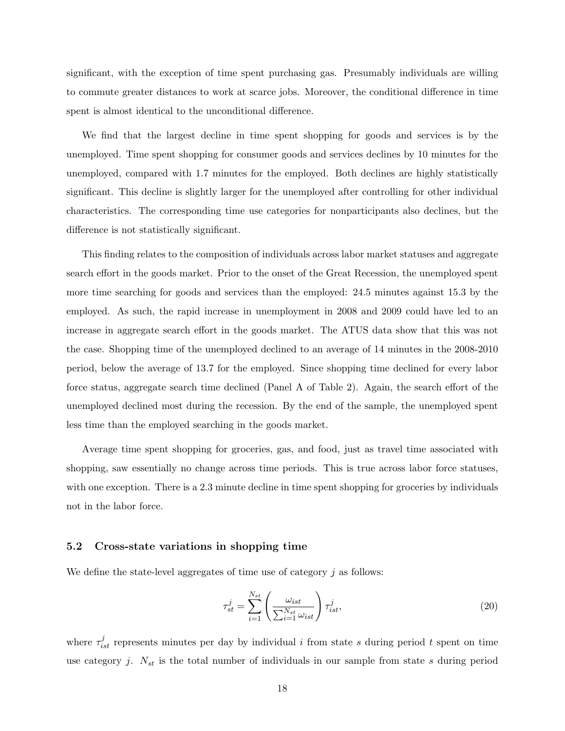significant, with the exception of time spent purchasing gas. Presumably individuals are willing to commute greater distances to work at scarce jobs. Moreover, the conditional difference in time spent is almost identical to the unconditional difference.

We find that the largest decline in time spent shopping for goods and services is by the unemployed. Time spent shopping for consumer goods and services declines by 10 minutes for the unemployed, compared with 1.7 minutes for the employed. Both declines are highly statistically significant. This decline is slightly larger for the unemployed after controlling for other individual characteristics. The corresponding time use categories for nonparticipants also declines, but the difference is not statistically significant.

This finding relates to the composition of individuals across labor market statuses and aggregate search effort in the goods market. Prior to the onset of the Great Recession, the unemployed spent more time searching for goods and services than the employed: 24.5 minutes against 15.3 by the employed. As such, the rapid increase in unemployment in 2008 and 2009 could have led to an increase in aggregate search effort in the goods market. The ATUS data show that this was not the case. Shopping time of the unemployed declined to an average of 14 minutes in the 2008-2010 period, below the average of 13.7 for the employed. Since shopping time declined for every labor force status, aggregate search time declined (Panel A of Table 2). Again, the search effort of the unemployed declined most during the recession. By the end of the sample, the unemployed spent less time than the employed searching in the goods market.

Average time spent shopping for groceries, gas, and food, just as travel time associated with shopping, saw essentially no change across time periods. This is true across labor force statuses, with one exception. There is a 2.3 minute decline in time spent shopping for groceries by individuals not in the labor force.

#### 5.2 Cross-state variations in shopping time

We define the state-level aggregates of time use of category  $j$  as follows:

$$
\tau_{st}^j = \sum_{i=1}^{N_{st}} \left( \frac{\omega_{ist}}{\sum_{i=1}^{N_{st}} \omega_{ist}} \right) \tau_{ist}^j,\tag{20}
$$

where  $\tau_{ist}^{j}$  represents minutes per day by individual i from state s during period t spent on time use category j.  $N_{st}$  is the total number of individuals in our sample from state s during period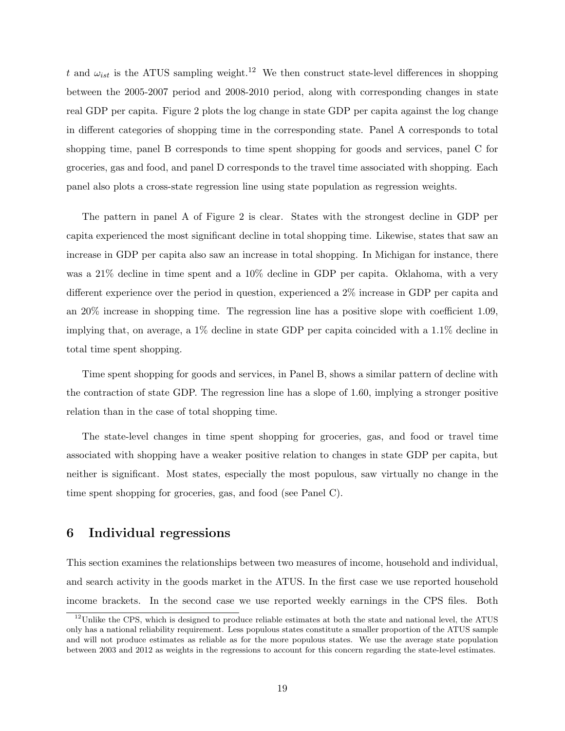t and  $\omega_{ist}$  is the ATUS sampling weight.<sup>12</sup> We then construct state-level differences in shopping between the 2005-2007 period and 2008-2010 period, along with corresponding changes in state real GDP per capita. Figure 2 plots the log change in state GDP per capita against the log change in different categories of shopping time in the corresponding state. Panel A corresponds to total shopping time, panel B corresponds to time spent shopping for goods and services, panel C for groceries, gas and food, and panel D corresponds to the travel time associated with shopping. Each panel also plots a cross-state regression line using state population as regression weights.

The pattern in panel A of Figure 2 is clear. States with the strongest decline in GDP per capita experienced the most significant decline in total shopping time. Likewise, states that saw an increase in GDP per capita also saw an increase in total shopping. In Michigan for instance, there was a 21% decline in time spent and a 10% decline in GDP per capita. Oklahoma, with a very different experience over the period in question, experienced a 2% increase in GDP per capita and an 20% increase in shopping time. The regression line has a positive slope with coefficient 1.09, implying that, on average, a 1% decline in state GDP per capita coincided with a 1.1% decline in total time spent shopping.

Time spent shopping for goods and services, in Panel B, shows a similar pattern of decline with the contraction of state GDP. The regression line has a slope of 1.60, implying a stronger positive relation than in the case of total shopping time.

The state-level changes in time spent shopping for groceries, gas, and food or travel time associated with shopping have a weaker positive relation to changes in state GDP per capita, but neither is significant. Most states, especially the most populous, saw virtually no change in the time spent shopping for groceries, gas, and food (see Panel C).

#### 6 Individual regressions

This section examines the relationships between two measures of income, household and individual, and search activity in the goods market in the ATUS. In the first case we use reported household income brackets. In the second case we use reported weekly earnings in the CPS files. Both

 $12$ Unlike the CPS, which is designed to produce reliable estimates at both the state and national level, the ATUS only has a national reliability requirement. Less populous states constitute a smaller proportion of the ATUS sample and will not produce estimates as reliable as for the more populous states. We use the average state population between 2003 and 2012 as weights in the regressions to account for this concern regarding the state-level estimates.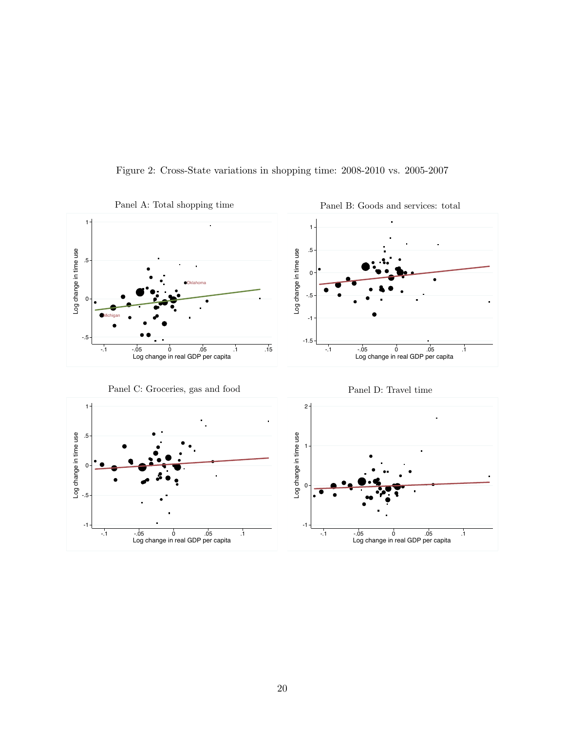

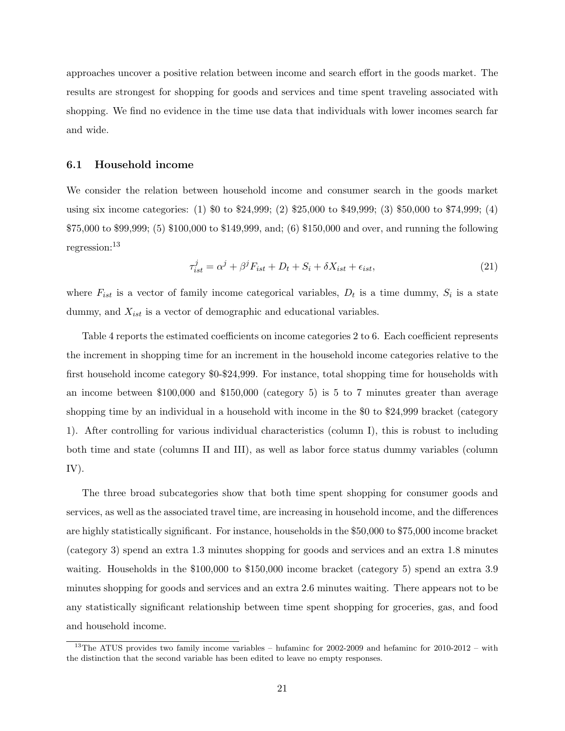approaches uncover a positive relation between income and search effort in the goods market. The results are strongest for shopping for goods and services and time spent traveling associated with shopping. We find no evidence in the time use data that individuals with lower incomes search far and wide.

#### 6.1 Household income

We consider the relation between household income and consumer search in the goods market using six income categories: (1) \$0 to \$24,999; (2) \$25,000 to \$49,999; (3) \$50,000 to \$74,999; (4) \$75,000 to \$99,999; (5) \$100,000 to \$149,999, and; (6) \$150,000 and over, and running the following regression:<sup>13</sup>

$$
\tau_{ist}^j = \alpha^j + \beta^j F_{ist} + D_t + S_i + \delta X_{ist} + \epsilon_{ist},\tag{21}
$$

where  $F_{ist}$  is a vector of family income categorical variables,  $D_t$  is a time dummy,  $S_i$  is a state dummy, and  $X_{ist}$  is a vector of demographic and educational variables.

Table 4 reports the estimated coefficients on income categories 2 to 6. Each coefficient represents the increment in shopping time for an increment in the household income categories relative to the first household income category \$0-\$24,999. For instance, total shopping time for households with an income between \$100,000 and \$150,000 (category 5) is 5 to 7 minutes greater than average shopping time by an individual in a household with income in the \$0 to \$24,999 bracket (category 1). After controlling for various individual characteristics (column I), this is robust to including both time and state (columns II and III), as well as labor force status dummy variables (column IV).

The three broad subcategories show that both time spent shopping for consumer goods and services, as well as the associated travel time, are increasing in household income, and the differences are highly statistically significant. For instance, households in the \$50,000 to \$75,000 income bracket (category 3) spend an extra 1.3 minutes shopping for goods and services and an extra 1.8 minutes waiting. Households in the \$100,000 to \$150,000 income bracket (category 5) spend an extra 3.9 minutes shopping for goods and services and an extra 2.6 minutes waiting. There appears not to be any statistically significant relationship between time spent shopping for groceries, gas, and food and household income.

<sup>&</sup>lt;sup>13</sup>The ATUS provides two family income variables – hufaminc for  $2002-2009$  and hefaminc for  $2010-2012$  – with the distinction that the second variable has been edited to leave no empty responses.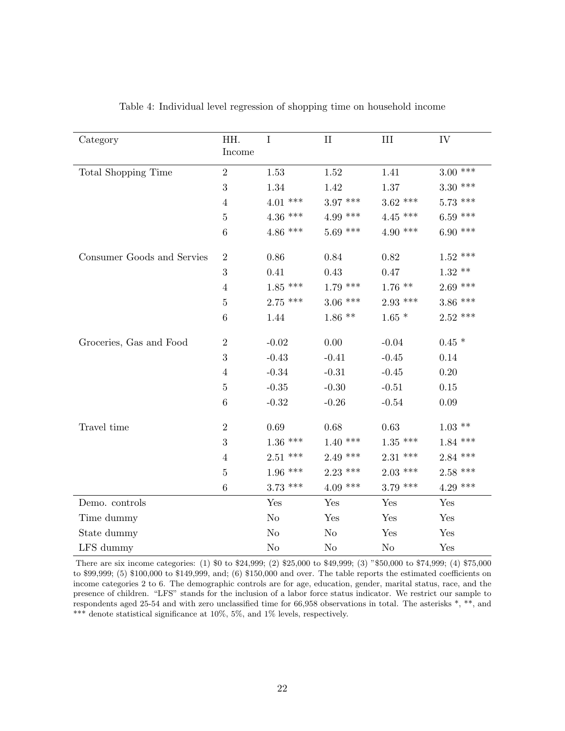| Category                   | HH.<br>Income   | $\bf I$    | $\rm II$   | III        | IV         |
|----------------------------|-----------------|------------|------------|------------|------------|
| Total Shopping Time        | $\overline{2}$  | 1.53       | 1.52       | 1.41       | $3.00$ *** |
|                            | 3               | 1.34       | 1.42       | 1.37       | $3.30***$  |
|                            | $\overline{4}$  | $4.01$ *** | $3.97$ *** | $3.62$ *** | $5.73$ *** |
|                            | $\overline{5}$  | $4.36$ *** | $4.99$ *** | $4.45$ *** | $6.59$ *** |
|                            | $6\phantom{.}6$ | $4.86$ *** | $5.69$ *** | $4.90$ *** | $6.90***$  |
| Consumer Goods and Servies | $\overline{2}$  | $0.86\,$   | 0.84       | 0.82       | $1.52$ *** |
|                            | 3               | 0.41       | 0.43       | 0.47       | $1.32$ **  |
|                            | $\overline{4}$  | $1.85$ *** | $1.79$ *** | $1.76$ **  | $2.69$ *** |
|                            | $\bf 5$         | $2.75$ *** | $3.06$ *** | $2.93$ *** | $3.86$ *** |
|                            | $\,6\,$         | 1.44       | $1.86$ **  | $1.65*$    | $2.52$ *** |
| Groceries, Gas and Food    | $\overline{2}$  | $-0.02$    | 0.00       | $-0.04$    | $0.45*$    |
|                            | 3               | $-0.43$    | $-0.41$    | $-0.45$    | 0.14       |
|                            | $\overline{4}$  | $-0.34$    | $-0.31$    | $-0.45$    | 0.20       |
|                            | $\bf 5$         | $-0.35$    | $-0.30$    | $-0.51$    | $0.15\,$   |
|                            | $\,6\,$         | $-0.32$    | $-0.26$    | $-0.54$    | $0.09\,$   |
| Travel time                | $\overline{2}$  | 0.69       | 0.68       | 0.63       | $1.03**$   |
|                            | 3               | $1.36$ *** | $1.40$ *** | $1.35$ *** | $1.84$ *** |
|                            | $\overline{4}$  | $2.51$ *** | $2.49$ *** | $2.31$ *** | $2.84$ *** |
|                            | $\overline{5}$  | $1.96$ *** | $2.23$ *** | $2.03$ *** | $2.58$ *** |
|                            | $\,6\,$         | $3.73$ *** | $4.09$ *** | $3.79$ *** | $4.29$ *** |
| Demo. controls             |                 | Yes        | Yes        | Yes        | Yes        |
| Time dummy                 |                 | No         | Yes        | Yes        | Yes        |
| State dummy                |                 | No         | No         | Yes        | Yes        |
| LFS dummy                  |                 | $\rm No$   | No         | $\rm No$   | Yes        |

Table 4: Individual level regression of shopping time on household income

There are six income categories: (1) \$0 to \$24,999; (2) \$25,000 to \$49,999; (3) "\$50,000 to \$74,999; (4) \$75,000 to \$99,999; (5) \$100,000 to \$149,999, and; (6) \$150,000 and over. The table reports the estimated coefficients on income categories 2 to 6. The demographic controls are for age, education, gender, marital status, race, and the presence of children. "LFS" stands for the inclusion of a labor force status indicator. We restrict our sample to respondents aged 25-54 and with zero unclassified time for 66,958 observations in total. The asterisks \*, \*\*, and  $^{***}$  denote statistical significance at 10%, 5%, and 1% levels, respectively.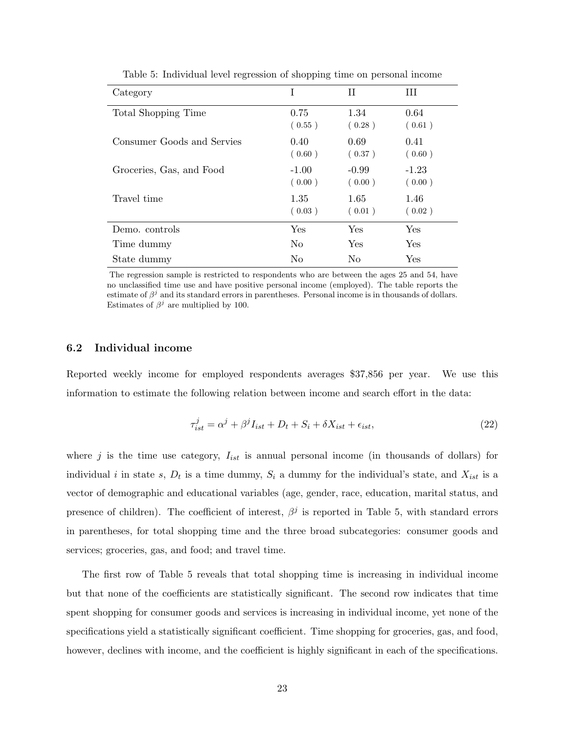| Category                   | T                 | H                 | Ш                 |
|----------------------------|-------------------|-------------------|-------------------|
| Total Shopping Time        | 0.75<br>(0.55)    | 1.34<br>(0.28)    | 0.64<br>(0.61)    |
| Consumer Goods and Servies | 0.40<br>(0.60)    | 0.69<br>(0.37)    | 0.41<br>(0.60)    |
| Groceries, Gas, and Food   | $-1.00$<br>(0.00) | $-0.99$<br>(0.00) | $-1.23$<br>(0.00) |
| Travel time                | 1.35<br>(0.03)    | 1.65<br>(0.01)    | 1.46<br>(0.02)    |
| Demo. controls             | Yes               | Yes               | Yes               |
| Time dummy                 | N <sub>0</sub>    | Yes               | Yes               |
| State dummy                | No                | N <sub>0</sub>    | Yes               |

Table 5: Individual level regression of shopping time on personal income

The regression sample is restricted to respondents who are between the ages 25 and 54, have no unclassified time use and have positive personal income (employed). The table reports the estimate of  $\beta^j$  and its standard errors in parentheses. Personal income is in thousands of dollars. Estimates of  $\beta^j$  are multiplied by 100.

#### 6.2 Individual income

Reported weekly income for employed respondents averages \$37,856 per year. We use this information to estimate the following relation between income and search effort in the data:

$$
\tau_{ist}^j = \alpha^j + \beta^j I_{ist} + D_t + S_i + \delta X_{ist} + \epsilon_{ist},\tag{22}
$$

where j is the time use category,  $I_{ist}$  is annual personal income (in thousands of dollars) for individual i in state s,  $D_t$  is a time dummy,  $S_i$  a dummy for the individual's state, and  $X_{ist}$  is a vector of demographic and educational variables (age, gender, race, education, marital status, and presence of children). The coefficient of interest,  $\beta^j$  is reported in Table 5, with standard errors in parentheses, for total shopping time and the three broad subcategories: consumer goods and services; groceries, gas, and food; and travel time.

The first row of Table 5 reveals that total shopping time is increasing in individual income but that none of the coefficients are statistically significant. The second row indicates that time spent shopping for consumer goods and services is increasing in individual income, yet none of the specifications yield a statistically significant coefficient. Time shopping for groceries, gas, and food, however, declines with income, and the coefficient is highly significant in each of the specifications.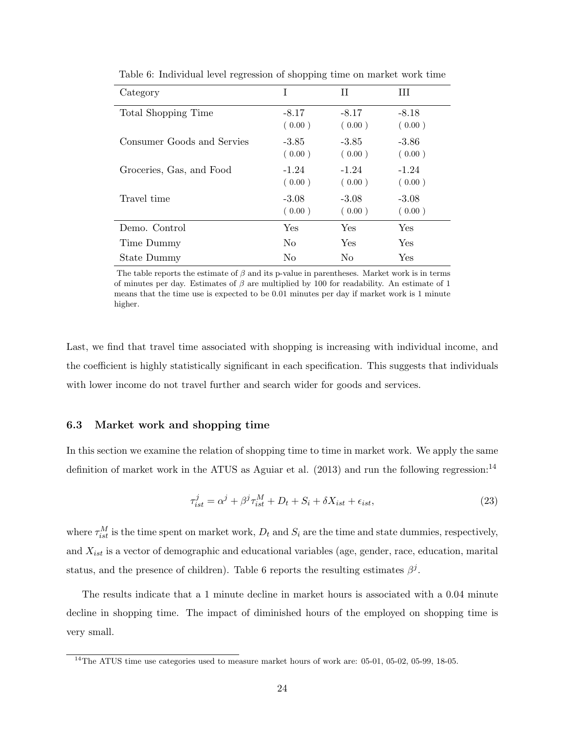| Category                   | I                 | Н                 | Ш                 |
|----------------------------|-------------------|-------------------|-------------------|
| Total Shopping Time        | $-8.17$<br>(0.00) | $-8.17$<br>(0.00) | $-8.18$<br>(0.00) |
| Consumer Goods and Servies | $-3.85$<br>(0.00) | $-3.85$<br>(0.00) | $-3.86$<br>(0.00) |
| Groceries, Gas, and Food   | $-1.24$<br>(0.00) | $-1.24$<br>(0.00) | $-1.24$<br>(0.00) |
| Travel time                | $-3.08$<br>(0.00) | $-3.08$<br>(0.00) | $-3.08$<br>(0.00) |
| Demo. Control              | Yes               | <b>Yes</b>        | <b>Yes</b>        |
| Time Dummy                 | N <sub>0</sub>    | <b>Yes</b>        | Yes               |
| State Dummy                | No                | N <sub>0</sub>    | Yes               |

Table 6: Individual level regression of shopping time on market work time

The table reports the estimate of  $\beta$  and its p-value in parentheses. Market work is in terms of minutes per day. Estimates of  $\beta$  are multiplied by 100 for readability. An estimate of 1 means that the time use is expected to be 0.01 minutes per day if market work is 1 minute higher.

Last, we find that travel time associated with shopping is increasing with individual income, and the coefficient is highly statistically significant in each specification. This suggests that individuals with lower income do not travel further and search wider for goods and services.

#### 6.3 Market work and shopping time

In this section we examine the relation of shopping time to time in market work. We apply the same definition of market work in the ATUS as Aguiar et al.  $(2013)$  and run the following regression:<sup>14</sup>

$$
\tau_{ist}^j = \alpha^j + \beta^j \tau_{ist}^M + D_t + S_i + \delta X_{ist} + \epsilon_{ist},\tag{23}
$$

where  $\tau_{ist}^M$  is the time spent on market work,  $D_t$  and  $S_i$  are the time and state dummies, respectively, and  $X_{ist}$  is a vector of demographic and educational variables (age, gender, race, education, marital status, and the presence of children). Table 6 reports the resulting estimates  $\beta^j$ .

The results indicate that a 1 minute decline in market hours is associated with a 0.04 minute decline in shopping time. The impact of diminished hours of the employed on shopping time is very small.

 $14$ The ATUS time use categories used to measure market hours of work are: 05-01, 05-02, 05-99, 18-05.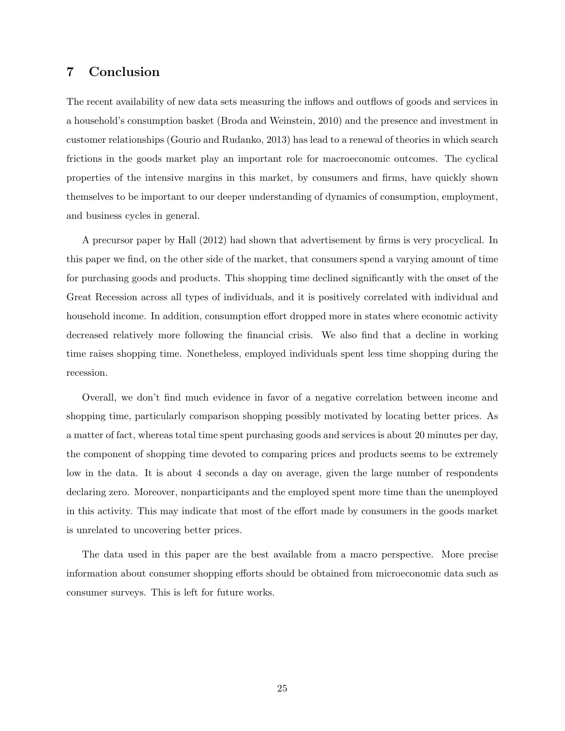#### 7 Conclusion

The recent availability of new data sets measuring the inflows and outflows of goods and services in a household's consumption basket (Broda and Weinstein, 2010) and the presence and investment in customer relationships (Gourio and Rudanko, 2013) has lead to a renewal of theories in which search frictions in the goods market play an important role for macroeconomic outcomes. The cyclical properties of the intensive margins in this market, by consumers and firms, have quickly shown themselves to be important to our deeper understanding of dynamics of consumption, employment, and business cycles in general.

A precursor paper by Hall (2012) had shown that advertisement by firms is very procyclical. In this paper we find, on the other side of the market, that consumers spend a varying amount of time for purchasing goods and products. This shopping time declined significantly with the onset of the Great Recession across all types of individuals, and it is positively correlated with individual and household income. In addition, consumption effort dropped more in states where economic activity decreased relatively more following the financial crisis. We also find that a decline in working time raises shopping time. Nonetheless, employed individuals spent less time shopping during the recession.

Overall, we don't find much evidence in favor of a negative correlation between income and shopping time, particularly comparison shopping possibly motivated by locating better prices. As a matter of fact, whereas total time spent purchasing goods and services is about 20 minutes per day, the component of shopping time devoted to comparing prices and products seems to be extremely low in the data. It is about 4 seconds a day on average, given the large number of respondents declaring zero. Moreover, nonparticipants and the employed spent more time than the unemployed in this activity. This may indicate that most of the effort made by consumers in the goods market is unrelated to uncovering better prices.

The data used in this paper are the best available from a macro perspective. More precise information about consumer shopping efforts should be obtained from microeconomic data such as consumer surveys. This is left for future works.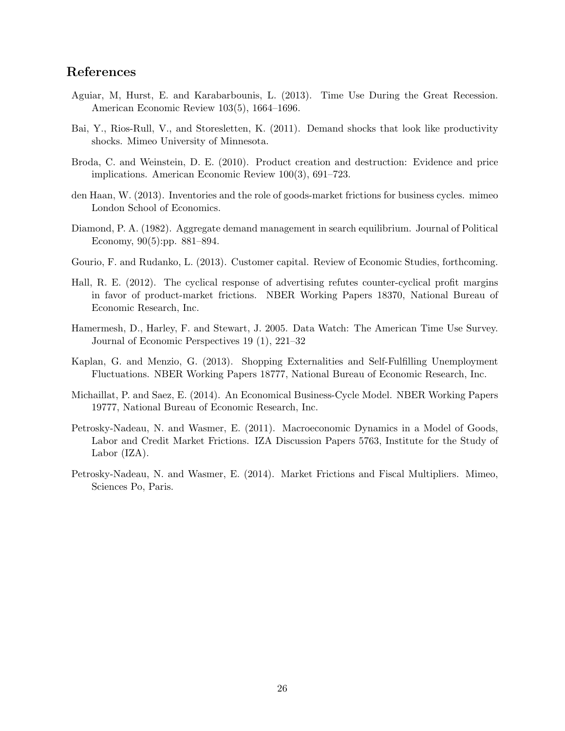#### References

- Aguiar, M, Hurst, E. and Karabarbounis, L. (2013). Time Use During the Great Recession. American Economic Review 103(5), 1664–1696.
- Bai, Y., Rios-Rull, V., and Storesletten, K. (2011). Demand shocks that look like productivity shocks. Mimeo University of Minnesota.
- Broda, C. and Weinstein, D. E. (2010). Product creation and destruction: Evidence and price implications. American Economic Review 100(3), 691–723.
- den Haan, W. (2013). Inventories and the role of goods-market frictions for business cycles. mimeo London School of Economics.
- Diamond, P. A. (1982). Aggregate demand management in search equilibrium. Journal of Political Economy, 90(5):pp. 881–894.
- Gourio, F. and Rudanko, L. (2013). Customer capital. Review of Economic Studies, forthcoming.
- Hall, R. E. (2012). The cyclical response of advertising refutes counter-cyclical profit margins in favor of product-market frictions. NBER Working Papers 18370, National Bureau of Economic Research, Inc.
- Hamermesh, D., Harley, F. and Stewart, J. 2005. Data Watch: The American Time Use Survey. Journal of Economic Perspectives 19 (1), 221–32
- Kaplan, G. and Menzio, G. (2013). Shopping Externalities and Self-Fulfilling Unemployment Fluctuations. NBER Working Papers 18777, National Bureau of Economic Research, Inc.
- Michaillat, P. and Saez, E. (2014). An Economical Business-Cycle Model. NBER Working Papers 19777, National Bureau of Economic Research, Inc.
- Petrosky-Nadeau, N. and Wasmer, E. (2011). Macroeconomic Dynamics in a Model of Goods, Labor and Credit Market Frictions. IZA Discussion Papers 5763, Institute for the Study of Labor (IZA).
- Petrosky-Nadeau, N. and Wasmer, E. (2014). Market Frictions and Fiscal Multipliers. Mimeo, Sciences Po, Paris.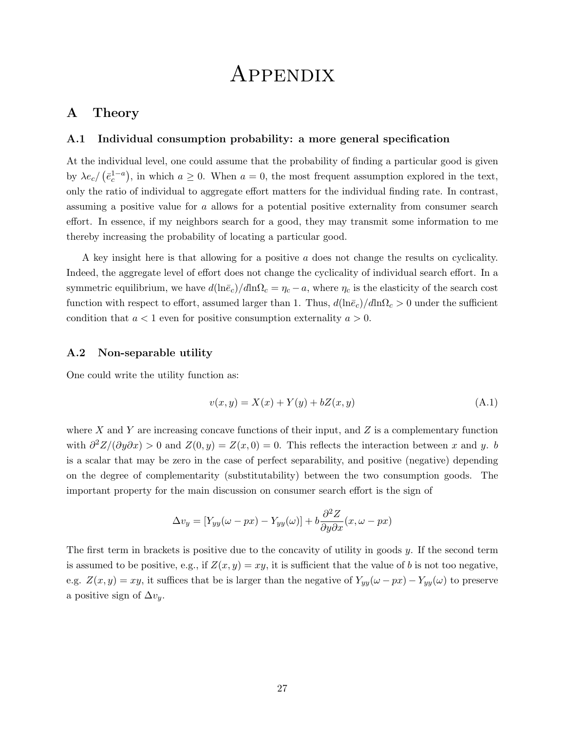# Appendix

#### A Theory

#### A.1 Individual consumption probability: a more general specification

At the individual level, one could assume that the probability of finding a particular good is given by  $\lambda e_c / (\bar{e}_c^{1-a})$ , in which  $a \ge 0$ . When  $a = 0$ , the most frequent assumption explored in the text, only the ratio of individual to aggregate effort matters for the individual finding rate. In contrast, assuming a positive value for a allows for a potential positive externality from consumer search effort. In essence, if my neighbors search for a good, they may transmit some information to me thereby increasing the probability of locating a particular good.

A key insight here is that allowing for a positive a does not change the results on cyclicality. Indeed, the aggregate level of effort does not change the cyclicality of individual search effort. In a symmetric equilibrium, we have  $d(\ln \bar{e}_c)/d \ln \Omega_c = \eta_c - a$ , where  $\eta_c$  is the elasticity of the search cost function with respect to effort, assumed larger than 1. Thus,  $d(\ln \bar{e}_c)/d\ln \Omega_c > 0$  under the sufficient condition that  $a < 1$  even for positive consumption externality  $a > 0$ .

#### A.2 Non-separable utility

One could write the utility function as:

$$
v(x, y) = X(x) + Y(y) + bZ(x, y)
$$
\n(A.1)

where X and Y are increasing concave functions of their input, and Z is a complementary function with  $\partial^2 Z/(\partial y \partial x) > 0$  and  $Z(0, y) = Z(x, 0) = 0$ . This reflects the interaction between x and y. b is a scalar that may be zero in the case of perfect separability, and positive (negative) depending on the degree of complementarity (substitutability) between the two consumption goods. The important property for the main discussion on consumer search effort is the sign of

$$
\Delta v_y = [Y_{yy}(\omega - px) - Y_{yy}(\omega)] + b \frac{\partial^2 Z}{\partial y \partial x}(x, \omega - px)
$$

The first term in brackets is positive due to the concavity of utility in goods y. If the second term is assumed to be positive, e.g., if  $Z(x, y) = xy$ , it is sufficient that the value of b is not too negative, e.g.  $Z(x, y) = xy$ , it suffices that be is larger than the negative of  $Y_{yy}(\omega - px) - Y_{yy}(\omega)$  to preserve a positive sign of  $\Delta v_y$ .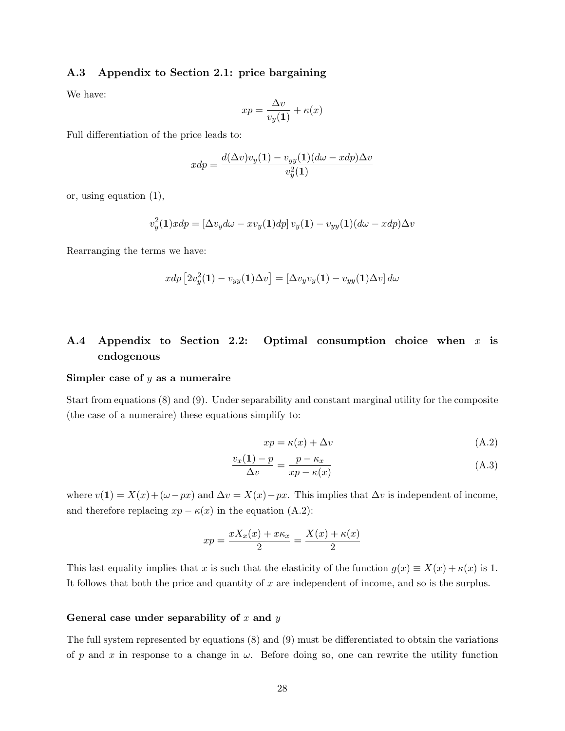#### A.3 Appendix to Section 2.1: price bargaining

We have:

$$
xp = \frac{\Delta v}{v_y(1)} + \kappa(x)
$$

Full differentiation of the price leads to:

$$
xdp = \frac{d(\Delta v)v_y(1) - v_{yy}(1)(d\omega - xdp)\Delta v}{v_y^2(1)}
$$

or, using equation (1),

$$
v_y^2(1)xdp = [\Delta v_y d\omega - xv_y(1)dp] v_y(1) - v_{yy}(1)(d\omega - xdp)\Delta v
$$

Rearranging the terms we have:

$$
xdp [2v_y^2(1) - v_{yy}(1)\Delta v] = [\Delta v_y v_y(1) - v_{yy}(1)\Delta v] d\omega
$$

# A.4 Appendix to Section 2.2: Optimal consumption choice when  $x$  is endogenous

#### Simpler case of  $y$  as a numeraire

Start from equations (8) and (9). Under separability and constant marginal utility for the composite (the case of a numeraire) these equations simplify to:

$$
xp = \kappa(x) + \Delta v \tag{A.2}
$$

$$
\frac{v_x(1) - p}{\Delta v} = \frac{p - \kappa_x}{xp - \kappa(x)}\tag{A.3}
$$

where  $v(1) = X(x) + (\omega - px)$  and  $\Delta v = X(x) - px$ . This implies that  $\Delta v$  is independent of income, and therefore replacing  $xp - \kappa(x)$  in the equation (A.2):

$$
xp = \frac{xX_x(x) + x\kappa_x}{2} = \frac{X(x) + \kappa(x)}{2}
$$

This last equality implies that x is such that the elasticity of the function  $g(x) \equiv X(x) + \kappa(x)$  is 1. It follows that both the price and quantity of  $x$  are independent of income, and so is the surplus.

#### General case under separability of x and  $y$

The full system represented by equations (8) and (9) must be differentiated to obtain the variations of p and x in response to a change in  $\omega$ . Before doing so, one can rewrite the utility function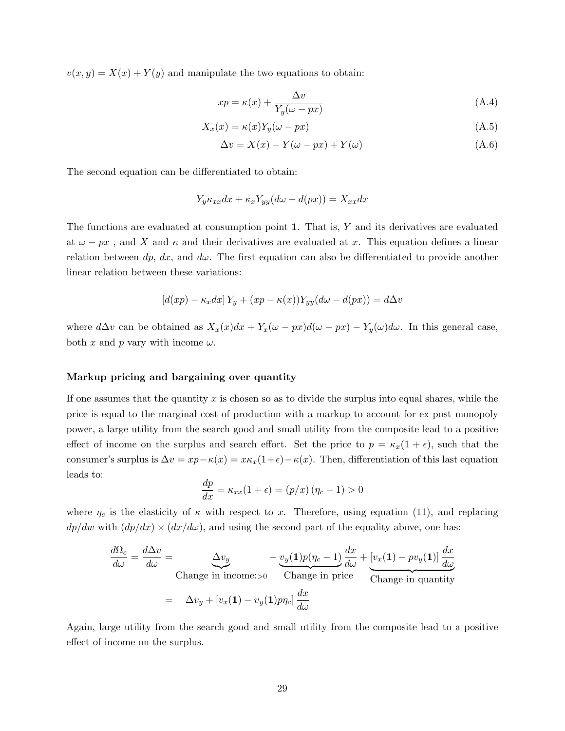$v(x, y) = X(x) + Y(y)$  and manipulate the two equations to obtain:

$$
xp = \kappa(x) + \frac{\Delta v}{Y_y(\omega - px)}
$$
\n(A.4)

$$
X_x(x) = \kappa(x)Y_y(\omega - px)
$$
\n(A.5)

$$
\Delta v = X(x) - Y(\omega - px) + Y(\omega) \tag{A.6}
$$

The second equation can be differentiated to obtain:

$$
Y_y \kappa_{xx} dx + \kappa_x Y_{yy} (d\omega - d(px)) = X_{xx} dx
$$

The functions are evaluated at consumption point 1. That is, Y and its derivatives are evaluated at  $\omega - px$ , and X and  $\kappa$  and their derivatives are evaluated at x. This equation defines a linear relation between dp, dx, and d $\omega$ . The first equation can also be differentiated to provide another linear relation between these variations:

$$
[d(xp) - \kappa_x dx] Y_y + (xp - \kappa(x)) Y_{yy}(d\omega - d(px)) = d\Delta v
$$

where  $d\Delta v$  can be obtained as  $X_x(x)dx + Y_x(\omega - px)d(\omega - px) - Y_y(\omega)d\omega$ . In this general case, both x and p vary with income  $\omega$ .

#### Markup pricing and bargaining over quantity

If one assumes that the quantity x is chosen so as to divide the surplus into equal shares, while the price is equal to the marginal cost of production with a markup to account for ex post monopoly power, a large utility from the search good and small utility from the composite lead to a positive effect of income on the surplus and search effort. Set the price to  $p = \kappa_x(1 + \epsilon)$ , such that the consumer's surplus is  $\Delta v = xp - \kappa(x) = x\kappa_x(1+\epsilon) - \kappa(x)$ . Then, differentiation of this last equation leads to:

$$
\frac{dp}{dx} = \kappa_{xx}(1+\epsilon) = (p/x) (\eta_c - 1) > 0
$$

where  $\eta_c$  is the elasticity of  $\kappa$  with respect to x. Therefore, using equation (11), and replacing  $dp/dw$  with  $(dp/dx) \times (dx/d\omega)$ , and using the second part of the equality above, one has:

$$
\frac{d\Omega_c}{d\omega} = \frac{d\Delta v}{d\omega} = \underbrace{\Delta v_y}_{\text{Change in income:} > 0} - \underbrace{v_y(1)p(\eta_c - 1)}_{\text{Change in price}} \frac{dx}{d\omega} + \underbrace{[v_x(1) - pv_y(1)] \frac{dx}{d\omega}}_{\text{Change in quantity}}
$$
\n
$$
= \Delta v_y + [v_x(1) - v_y(1) p\eta_c] \frac{dx}{d\omega}
$$

Again, large utility from the search good and small utility from the composite lead to a positive effect of income on the surplus.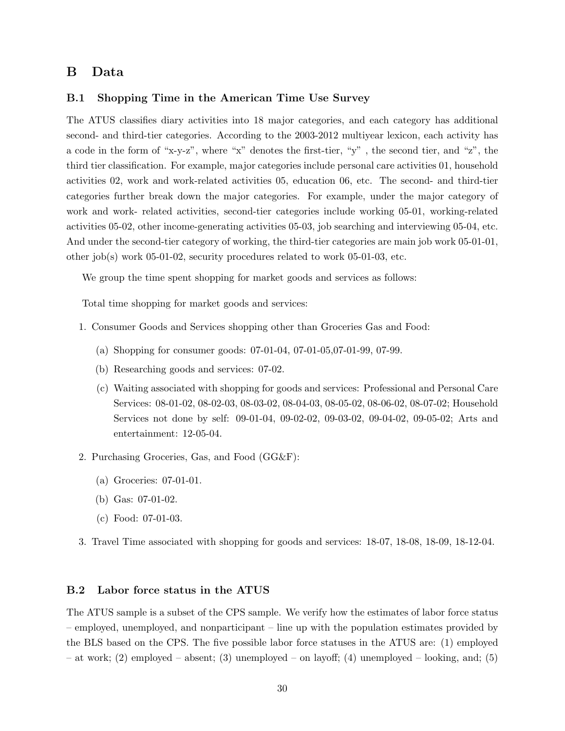#### B Data

#### B.1 Shopping Time in the American Time Use Survey

The ATUS classifies diary activities into 18 major categories, and each category has additional second- and third-tier categories. According to the 2003-2012 multiyear lexicon, each activity has a code in the form of "x-y-z", where "x" denotes the first-tier, "y" , the second tier, and "z", the third tier classification. For example, major categories include personal care activities 01, household activities 02, work and work-related activities 05, education 06, etc. The second- and third-tier categories further break down the major categories. For example, under the major category of work and work- related activities, second-tier categories include working 05-01, working-related activities 05-02, other income-generating activities 05-03, job searching and interviewing 05-04, etc. And under the second-tier category of working, the third-tier categories are main job work 05-01-01, other job(s) work 05-01-02, security procedures related to work 05-01-03, etc.

We group the time spent shopping for market goods and services as follows:

Total time shopping for market goods and services:

- 1. Consumer Goods and Services shopping other than Groceries Gas and Food:
	- (a) Shopping for consumer goods: 07-01-04, 07-01-05,07-01-99, 07-99.
	- (b) Researching goods and services: 07-02.
	- (c) Waiting associated with shopping for goods and services: Professional and Personal Care Services: 08-01-02, 08-02-03, 08-03-02, 08-04-03, 08-05-02, 08-06-02, 08-07-02; Household Services not done by self: 09-01-04, 09-02-02, 09-03-02, 09-04-02, 09-05-02; Arts and entertainment: 12-05-04.
- 2. Purchasing Groceries, Gas, and Food (GG&F):
	- (a) Groceries: 07-01-01.
	- (b) Gas: 07-01-02.
	- (c) Food: 07-01-03.
- 3. Travel Time associated with shopping for goods and services: 18-07, 18-08, 18-09, 18-12-04.

#### B.2 Labor force status in the ATUS

The ATUS sample is a subset of the CPS sample. We verify how the estimates of labor force status – employed, unemployed, and nonparticipant – line up with the population estimates provided by the BLS based on the CPS. The five possible labor force statuses in the ATUS are: (1) employed – at work; (2) employed – absent; (3) unemployed – on layoff; (4) unemployed – looking, and; (5)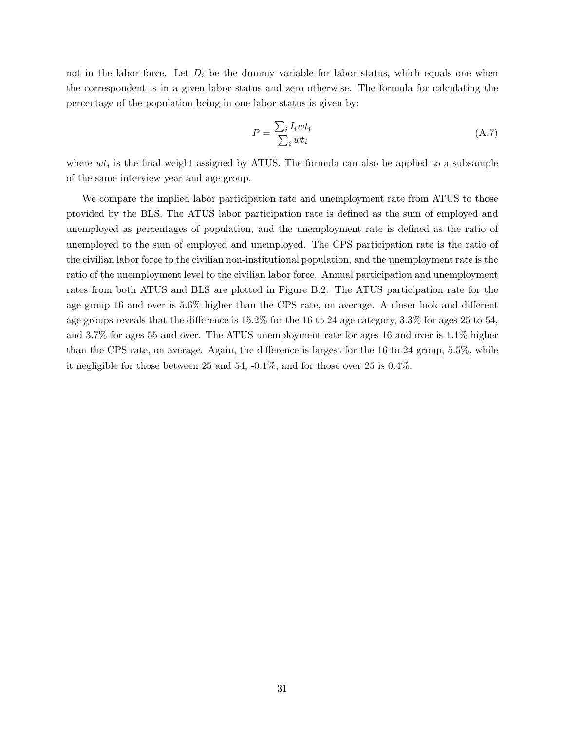not in the labor force. Let  $D_i$  be the dummy variable for labor status, which equals one when the correspondent is in a given labor status and zero otherwise. The formula for calculating the percentage of the population being in one labor status is given by:

$$
P = \frac{\sum_{i} I_i w t_i}{\sum_{i} w t_i}
$$
\n(A.7)

where  $wt_i$  is the final weight assigned by ATUS. The formula can also be applied to a subsample of the same interview year and age group.

We compare the implied labor participation rate and unemployment rate from ATUS to those provided by the BLS. The ATUS labor participation rate is defined as the sum of employed and unemployed as percentages of population, and the unemployment rate is defined as the ratio of unemployed to the sum of employed and unemployed. The CPS participation rate is the ratio of the civilian labor force to the civilian non-institutional population, and the unemployment rate is the ratio of the unemployment level to the civilian labor force. Annual participation and unemployment rates from both ATUS and BLS are plotted in Figure B.2. The ATUS participation rate for the age group 16 and over is 5.6% higher than the CPS rate, on average. A closer look and different age groups reveals that the difference is 15.2% for the 16 to 24 age category, 3.3% for ages 25 to 54, and 3.7% for ages 55 and over. The ATUS unemployment rate for ages 16 and over is 1.1% higher than the CPS rate, on average. Again, the difference is largest for the 16 to 24 group, 5.5%, while it negligible for those between 25 and 54, -0.1%, and for those over 25 is 0.4%.